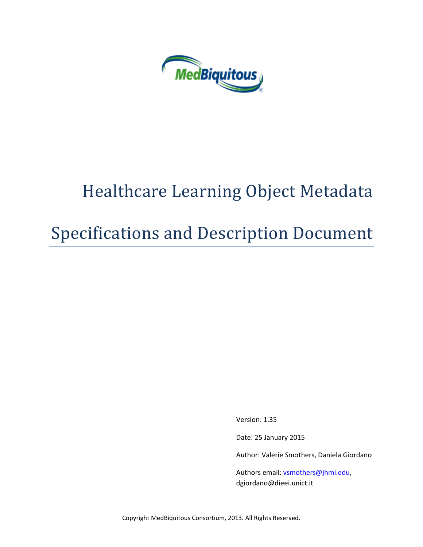

# Healthcare Learning Object Metadata

Specifications and Description Document

Version: 1.35

Date: 25 January 2015

Author: Valerie Smothers, Daniela Giordano

Authors email: [vsmothers@jhmi.edu,](mailto:vsmothers@jhmi.edu) dgiordano@dieei.unict.it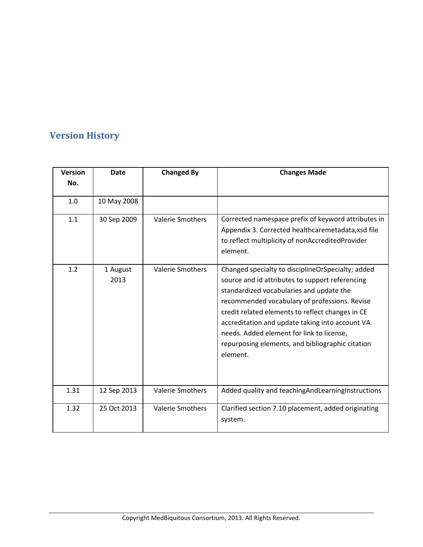# **Version History**

| <b>Version</b> | <b>Date</b>      | <b>Changed By</b>       | <b>Changes Made</b>                                                                                                                                                                                                                                                                                                                                                                                                   |  |
|----------------|------------------|-------------------------|-----------------------------------------------------------------------------------------------------------------------------------------------------------------------------------------------------------------------------------------------------------------------------------------------------------------------------------------------------------------------------------------------------------------------|--|
| No.            |                  |                         |                                                                                                                                                                                                                                                                                                                                                                                                                       |  |
| 1.0            | 10 May 2008      |                         |                                                                                                                                                                                                                                                                                                                                                                                                                       |  |
| 1.1            | 30 Sep 2009      | <b>Valerie Smothers</b> | Corrected namespace prefix of keyword attributes in<br>Appendix 3. Corrected healthcaremetadata, xsd file<br>to reflect multiplicity of nonAccreditedProvider<br>element.                                                                                                                                                                                                                                             |  |
| 1.2            | 1 August<br>2013 | <b>Valerie Smothers</b> | Changed specialty to disciplineOrSpecialty; added<br>source and id attributes to support referencing<br>standardized vocabularies and update the<br>recommended vocabulary of professions. Revise<br>credit related elements to reflect changes in CE<br>accreditation and update taking into account VA<br>needs. Added element for link to license,<br>repurposing elements, and bibliographic citation<br>element. |  |
| 1.31           | 12 Sep 2013      | <b>Valerie Smothers</b> | Added quality and teaching And Learning Instructions                                                                                                                                                                                                                                                                                                                                                                  |  |
| 1.32           | 25 Oct 2013      | <b>Valerie Smothers</b> | Clarified section 7.10 placement, added originating<br>system.                                                                                                                                                                                                                                                                                                                                                        |  |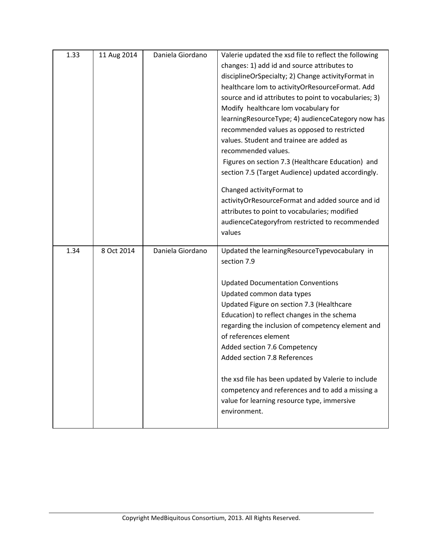| 1.33 | 11 Aug 2014 | Daniela Giordano | Valerie updated the xsd file to reflect the following |  |
|------|-------------|------------------|-------------------------------------------------------|--|
|      |             |                  | changes: 1) add id and source attributes to           |  |
|      |             |                  | disciplineOrSpecialty; 2) Change activityFormat in    |  |
|      |             |                  | healthcare lom to activityOrResourceFormat. Add       |  |
|      |             |                  | source and id attributes to point to vocabularies; 3) |  |
|      |             |                  | Modify healthcare lom vocabulary for                  |  |
|      |             |                  | learningResourceType; 4) audienceCategory now has     |  |
|      |             |                  | recommended values as opposed to restricted           |  |
|      |             |                  | values. Student and trainee are added as              |  |
|      |             |                  | recommended values.                                   |  |
|      |             |                  | Figures on section 7.3 (Healthcare Education) and     |  |
|      |             |                  | section 7.5 (Target Audience) updated accordingly.    |  |
|      |             |                  | Changed activityFormat to                             |  |
|      |             |                  | activityOrResourceFormat and added source and id      |  |
|      |             |                  | attributes to point to vocabularies; modified         |  |
|      |             |                  | audienceCategoryfrom restricted to recommended        |  |
|      |             |                  | values                                                |  |
| 1.34 | 8 Oct 2014  | Daniela Giordano | Updated the learningResourceTypevocabulary in         |  |
|      |             |                  | section 7.9                                           |  |
|      |             |                  | <b>Updated Documentation Conventions</b>              |  |
|      |             |                  | Updated common data types                             |  |
|      |             |                  | Updated Figure on section 7.3 (Healthcare             |  |
|      |             |                  | Education) to reflect changes in the schema           |  |
|      |             |                  | regarding the inclusion of competency element and     |  |
|      |             |                  | of references element                                 |  |
|      |             |                  | Added section 7.6 Competency                          |  |
|      |             |                  | Added section 7.8 References                          |  |
|      |             |                  |                                                       |  |
|      |             |                  | the xsd file has been updated by Valerie to include   |  |
|      |             |                  | competency and references and to add a missing a      |  |
|      |             |                  | value for learning resource type, immersive           |  |
|      |             |                  |                                                       |  |
|      |             |                  | environment.                                          |  |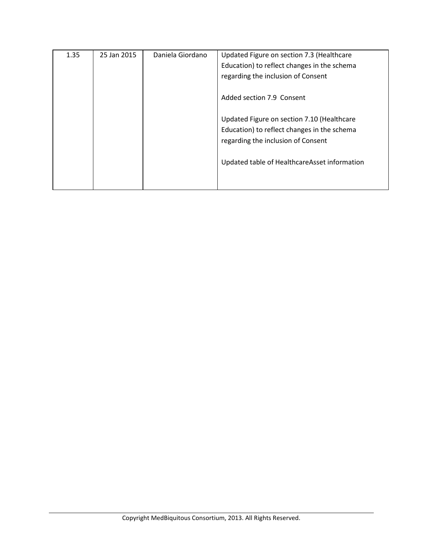| 1.35 | 25 Jan 2015 | Daniela Giordano | Updated Figure on section 7.3 (Healthcare    |  |
|------|-------------|------------------|----------------------------------------------|--|
|      |             |                  | Education) to reflect changes in the schema  |  |
|      |             |                  | regarding the inclusion of Consent           |  |
|      |             |                  |                                              |  |
|      |             |                  | Added section 7.9 Consent                    |  |
|      |             |                  |                                              |  |
|      |             |                  | Updated Figure on section 7.10 (Healthcare   |  |
|      |             |                  | Education) to reflect changes in the schema  |  |
|      |             |                  | regarding the inclusion of Consent           |  |
|      |             |                  |                                              |  |
|      |             |                  | Updated table of HealthcareAsset information |  |
|      |             |                  |                                              |  |
|      |             |                  |                                              |  |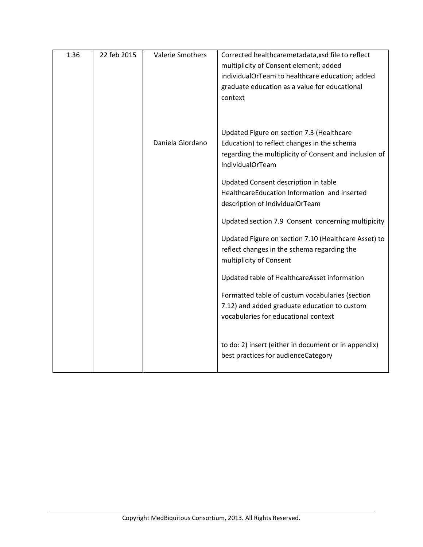| 1.36 | 22 feb 2015 | <b>Valerie Smothers</b> | Corrected healthcaremetadata, xsd file to reflect      |
|------|-------------|-------------------------|--------------------------------------------------------|
|      |             |                         | multiplicity of Consent element; added                 |
|      |             |                         | individualOrTeam to healthcare education; added        |
|      |             |                         | graduate education as a value for educational          |
|      |             |                         | context                                                |
|      |             |                         |                                                        |
|      |             |                         | Updated Figure on section 7.3 (Healthcare              |
|      |             | Daniela Giordano        | Education) to reflect changes in the schema            |
|      |             |                         | regarding the multiplicity of Consent and inclusion of |
|      |             |                         | <b>IndividualOrTeam</b>                                |
|      |             |                         | Updated Consent description in table                   |
|      |             |                         | HealthcareEducation Information and inserted           |
|      |             |                         | description of IndividualOrTeam                        |
|      |             |                         |                                                        |
|      |             |                         | Updated section 7.9 Consent concerning multipicity     |
|      |             |                         | Updated Figure on section 7.10 (Healthcare Asset) to   |
|      |             |                         | reflect changes in the schema regarding the            |
|      |             |                         | multiplicity of Consent                                |
|      |             |                         | Updated table of HealthcareAsset information           |
|      |             |                         | Formatted table of custum vocabularies (section        |
|      |             |                         | 7.12) and added graduate education to custom           |
|      |             |                         | vocabularies for educational context                   |
|      |             |                         |                                                        |
|      |             |                         | to do: 2) insert (either in document or in appendix)   |
|      |             |                         | best practices for audienceCategory                    |
|      |             |                         |                                                        |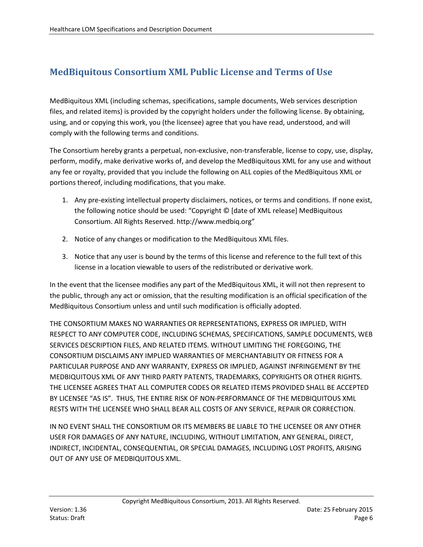## **MedBiquitous Consortium XML Public License and Terms of Use**

MedBiquitous XML (including schemas, specifications, sample documents, Web services description files, and related items) is provided by the copyright holders under the following license. By obtaining, using, and or copying this work, you (the licensee) agree that you have read, understood, and will comply with the following terms and conditions.

The Consortium hereby grants a perpetual, non-exclusive, non-transferable, license to copy, use, display, perform, modify, make derivative works of, and develop the MedBiquitous XML for any use and without any fee or royalty, provided that you include the following on ALL copies of the MedBiquitous XML or portions thereof, including modifications, that you make.

- 1. Any pre-existing intellectual property disclaimers, notices, or terms and conditions. If none exist, the following notice should be used: "Copyright © [date of XML release] MedBiquitous Consortium. All Rights Reserved. http://www.medbiq.org"
- 2. Notice of any changes or modification to the MedBiquitous XML files.
- 3. Notice that any user is bound by the terms of this license and reference to the full text of this license in a location viewable to users of the redistributed or derivative work.

In the event that the licensee modifies any part of the MedBiquitous XML, it will not then represent to the public, through any act or omission, that the resulting modification is an official specification of the MedBiquitous Consortium unless and until such modification is officially adopted.

THE CONSORTIUM MAKES NO WARRANTIES OR REPRESENTATIONS, EXPRESS OR IMPLIED, WITH RESPECT TO ANY COMPUTER CODE, INCLUDING SCHEMAS, SPECIFICATIONS, SAMPLE DOCUMENTS, WEB SERVICES DESCRIPTION FILES, AND RELATED ITEMS. WITHOUT LIMITING THE FOREGOING, THE CONSORTIUM DISCLAIMS ANY IMPLIED WARRANTIES OF MERCHANTABILITY OR FITNESS FOR A PARTICULAR PURPOSE AND ANY WARRANTY, EXPRESS OR IMPLIED, AGAINST INFRINGEMENT BY THE MEDBIQUITOUS XML OF ANY THIRD PARTY PATENTS, TRADEMARKS, COPYRIGHTS OR OTHER RIGHTS. THE LICENSEE AGREES THAT ALL COMPUTER CODES OR RELATED ITEMS PROVIDED SHALL BE ACCEPTED BY LICENSEE "AS IS". THUS, THE ENTIRE RISK OF NON-PERFORMANCE OF THE MEDBIQUITOUS XML RESTS WITH THE LICENSEE WHO SHALL BEAR ALL COSTS OF ANY SERVICE, REPAIR OR CORRECTION.

IN NO EVENT SHALL THE CONSORTIUM OR ITS MEMBERS BE LIABLE TO THE LICENSEE OR ANY OTHER USER FOR DAMAGES OF ANY NATURE, INCLUDING, WITHOUT LIMITATION, ANY GENERAL, DIRECT, INDIRECT, INCIDENTAL, CONSEQUENTIAL, OR SPECIAL DAMAGES, INCLUDING LOST PROFITS, ARISING OUT OF ANY USE OF MEDBIQUITOUS XML.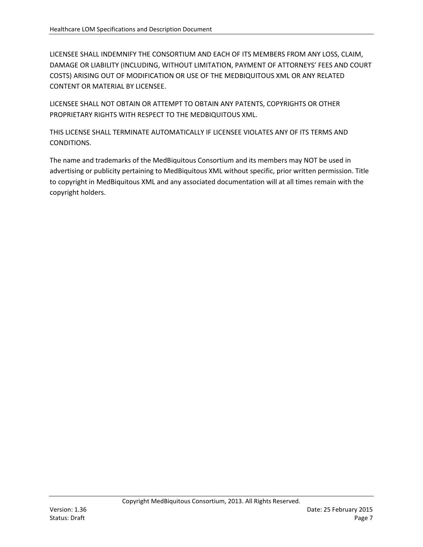LICENSEE SHALL INDEMNIFY THE CONSORTIUM AND EACH OF ITS MEMBERS FROM ANY LOSS, CLAIM, DAMAGE OR LIABILITY (INCLUDING, WITHOUT LIMITATION, PAYMENT OF ATTORNEYS' FEES AND COURT COSTS) ARISING OUT OF MODIFICATION OR USE OF THE MEDBIQUITOUS XML OR ANY RELATED CONTENT OR MATERIAL BY LICENSEE.

LICENSEE SHALL NOT OBTAIN OR ATTEMPT TO OBTAIN ANY PATENTS, COPYRIGHTS OR OTHER PROPRIETARY RIGHTS WITH RESPECT TO THE MEDBIQUITOUS XML.

THIS LICENSE SHALL TERMINATE AUTOMATICALLY IF LICENSEE VIOLATES ANY OF ITS TERMS AND CONDITIONS.

The name and trademarks of the MedBiquitous Consortium and its members may NOT be used in advertising or publicity pertaining to MedBiquitous XML without specific, prior written permission. Title to copyright in MedBiquitous XML and any associated documentation will at all times remain with the copyright holders.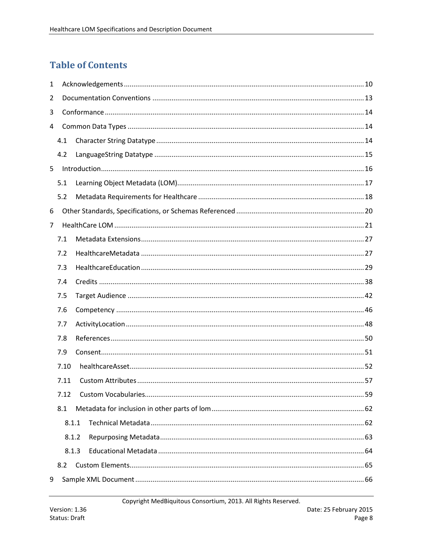# **Table of Contents**

| $\mathbf{1}$   |       |  |  |  |
|----------------|-------|--|--|--|
| $\overline{2}$ |       |  |  |  |
| 3              |       |  |  |  |
| 4              |       |  |  |  |
|                | 4.1   |  |  |  |
|                | 4.2   |  |  |  |
| 5              |       |  |  |  |
|                | 5.1   |  |  |  |
|                | 5.2   |  |  |  |
| 6              |       |  |  |  |
| 7              |       |  |  |  |
|                | 7.1   |  |  |  |
|                | 7.2   |  |  |  |
|                | 7.3   |  |  |  |
|                | 7.4   |  |  |  |
|                | 7.5   |  |  |  |
|                | 7.6   |  |  |  |
|                | 7.7   |  |  |  |
|                | 7.8   |  |  |  |
|                | 7.9   |  |  |  |
|                | 7.10  |  |  |  |
|                | 7.11  |  |  |  |
|                | 7.12  |  |  |  |
|                | 8.1   |  |  |  |
|                | 8.1.1 |  |  |  |
|                | 8.1.2 |  |  |  |
|                | 8.1.3 |  |  |  |
|                | 8.2   |  |  |  |
| 9              |       |  |  |  |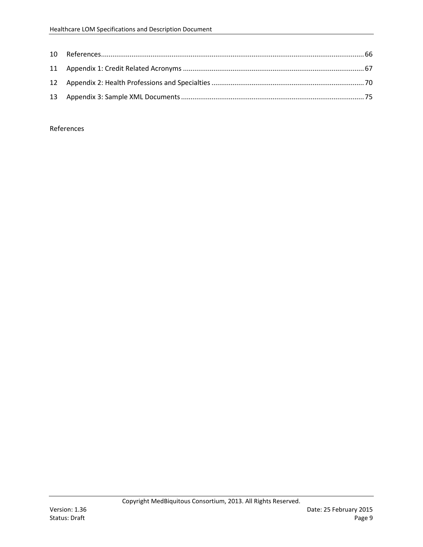References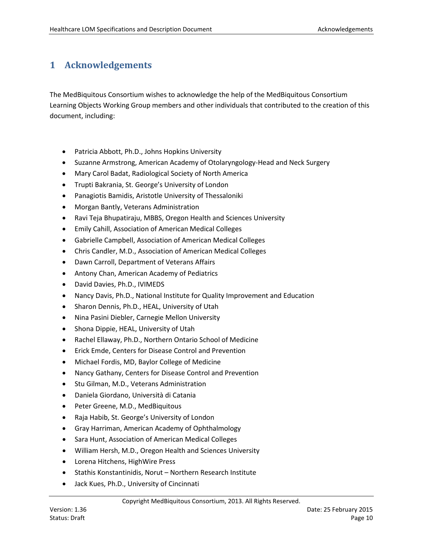## **1 Acknowledgements**

The MedBiquitous Consortium wishes to acknowledge the help of the MedBiquitous Consortium Learning Objects Working Group members and other individuals that contributed to the creation of this document, including:

- Patricia Abbott, Ph.D., Johns Hopkins University
- Suzanne Armstrong, American Academy of Otolaryngology-Head and Neck Surgery
- Mary Carol Badat, Radiological Society of North America
- Trupti Bakrania, St. George's University of London
- Panagiotis Bamidis, Aristotle University of Thessaloniki
- Morgan Bantly, Veterans Administration
- Ravi Teja Bhupatiraju, MBBS, Oregon Health and Sciences University
- Emily Cahill, Association of American Medical Colleges
- Gabrielle Campbell, Association of American Medical Colleges
- Chris Candler, M.D., Association of American Medical Colleges
- Dawn Carroll, Department of Veterans Affairs
- Antony Chan, American Academy of Pediatrics
- David Davies, Ph.D., IVIMEDS
- Nancy Davis, Ph.D., National Institute for Quality Improvement and Education
- Sharon Dennis, Ph.D., HEAL, University of Utah
- Nina Pasini Diebler, Carnegie Mellon University
- Shona Dippie, HEAL, University of Utah
- Rachel Ellaway, Ph.D., Northern Ontario School of Medicine
- Erick Emde, Centers for Disease Control and Prevention
- Michael Fordis, MD, Baylor College of Medicine
- Nancy Gathany, Centers for Disease Control and Prevention
- Stu Gilman, M.D., Veterans Administration
- Daniela Giordano, Università di Catania
- Peter Greene, M.D., MedBiquitous
- Raja Habib, St. George's University of London
- Gray Harriman, American Academy of Ophthalmology
- Sara Hunt, Association of American Medical Colleges
- William Hersh, M.D., Oregon Health and Sciences University
- Lorena Hitchens, HighWire Press
- Stathis Konstantinidis, Norut Northern Research Institute
- Jack Kues, Ph.D., University of Cincinnati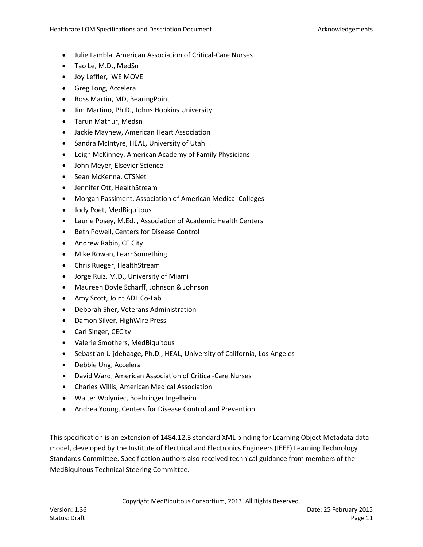- Julie Lambla, American Association of Critical-Care Nurses
- Tao Le, M.D., MedSn
- Joy Leffler, WE MOVE
- Greg Long, Accelera
- Ross Martin, MD, BearingPoint
- Jim Martino, Ph.D., Johns Hopkins University
- Tarun Mathur, Medsn
- Jackie Mayhew, American Heart Association
- Sandra McIntyre, HEAL, University of Utah
- Leigh McKinney, American Academy of Family Physicians
- John Meyer, Elsevier Science
- Sean McKenna, CTSNet
- Jennifer Ott, HealthStream
- Morgan Passiment, Association of American Medical Colleges
- Jody Poet, MedBiquitous
- Laurie Posey, M.Ed. , Association of Academic Health Centers
- Beth Powell, Centers for Disease Control
- Andrew Rabin, CE City
- Mike Rowan, LearnSomething
- Chris Rueger, HealthStream
- Jorge Ruiz, M.D., University of Miami
- Maureen Doyle Scharff, Johnson & Johnson
- Amy Scott, Joint ADL Co-Lab
- Deborah Sher, Veterans Administration
- Damon Silver, HighWire Press
- Carl Singer, CECity
- Valerie Smothers, MedBiquitous
- Sebastian Uijdehaage, Ph.D., HEAL, University of California, Los Angeles
- Debbie Ung, Accelera
- David Ward, American Association of Critical-Care Nurses
- Charles Willis, American Medical Association
- Walter Wolyniec, Boehringer Ingelheim
- Andrea Young, Centers for Disease Control and Prevention

This specification is an extension of 1484.12.3 standard XML binding for Learning Object Metadata data model, developed by the Institute of Electrical and Electronics Engineers (IEEE) Learning Technology Standards Committee. Specification authors also received technical guidance from members of the MedBiquitous Technical Steering Committee.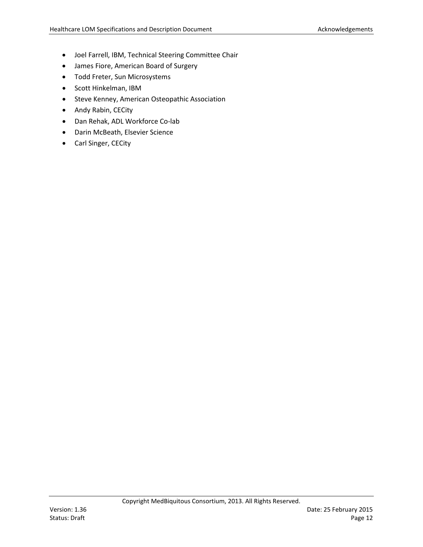- Joel Farrell, IBM, Technical Steering Committee Chair
- James Fiore, American Board of Surgery
- Todd Freter, Sun Microsystems
- Scott Hinkelman, IBM
- Steve Kenney, American Osteopathic Association
- Andy Rabin, CECity
- Dan Rehak, ADL Workforce Co-lab
- Darin McBeath, Elsevier Science
- Carl Singer, CECity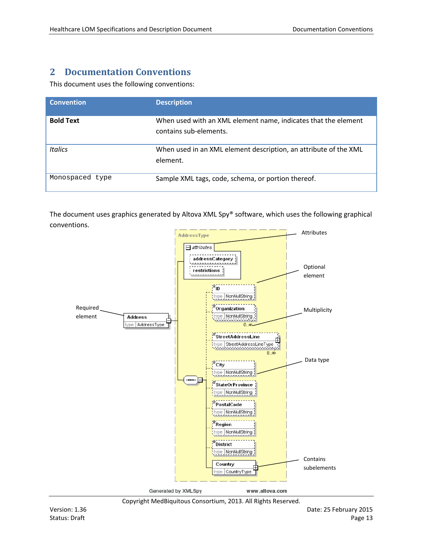## **2 Documentation Conventions**

This document uses the following conventions:

| <b>Convention</b> | <b>Description</b>                                                                       |
|-------------------|------------------------------------------------------------------------------------------|
| <b>Bold Text</b>  | When used with an XML element name, indicates that the element<br>contains sub-elements. |
| <b>Italics</b>    | When used in an XML element description, an attribute of the XML<br>element.             |
| Monospaced type   | Sample XML tags, code, schema, or portion thereof.                                       |

The document uses graphics generated by Altova XML Spy® software, which uses the following graphical conventions.



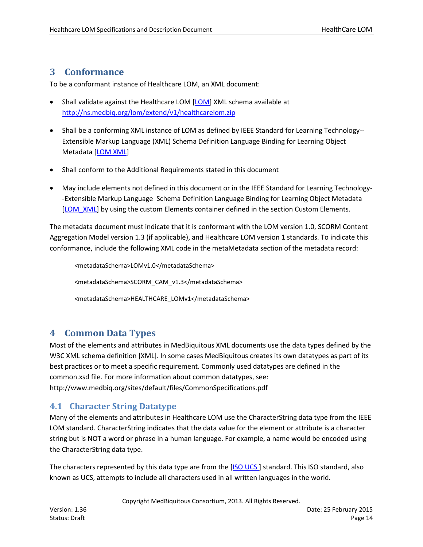#### **3 Conformance**

To be a conformant instance of Healthcare LOM, an XML document:

- Shall validate against the Healthcare LOM [\[LOM\]](#page-65-0) XML schema available at <http://ns.medbiq.org/lom/extend/v1/healthcarelom.zip>
- Shall be a conforming XML instance of LOM as defined by IEEE Standard for Learning Technology-- Extensible Markup Language (XML) Schema Definition Language Binding for Learning Object Metadata [\[LOM XML\]](#page-65-1)
- Shall conform to the Additional Requirements stated in this document
- May include elements not defined in this document or in the IEEE Standard for Learning Technology- -Extensible Markup Language Schema Definition Language Binding for Learning Object Metadata [\[LOM\\_XML\]](#page-65-1) by using the custom Elements container defined in the section Custom Elements.

The metadata document must indicate that it is conformant with the LOM version 1.0, SCORM Content Aggregation Model version 1.3 (if applicable), and Healthcare LOM version 1 standards. To indicate this conformance, include the following XML code in the metaMetadata section of the metadata record:

```
<metadataSchema>LOMv1.0</metadataSchema>
<metadataSchema>SCORM_CAM_v1.3</metadataSchema>
<metadataSchema>HEALTHCARE_LOMv1</metadataSchema>
```
## **4 Common Data Types**

Most of the elements and attributes in MedBiquitous XML documents use the data types defined by the W3C XML schema definition [\[XML\]](https://mail.google.com/mail/u/0/?hl=it&shva=1%23148f5ea17c5d2a9a_XML). In some cases MedBiquitous creates its own datatypes as part of its best practices or to meet a specific requirement. Commonly used datatypes are defined in the common.xsd file. For more information about common datatypes, see: <http://www.medbiq.org/sites/default/files/CommonSpecifications.pdf>

#### **4.1 Character String Datatype**

Many of the elements and attributes in Healthcare LOM use the CharacterString data type from the IEEE LOM standard. CharacterString indicates that the data value for the element or attribute is a character string but is NOT a word or phrase in a human language. For example, a name would be encoded using the CharacterString data type.

The characters represented by this data type are from the [ISO UCS] standard. This ISO standard, also known as UCS, attempts to include all characters used in all written languages in the world.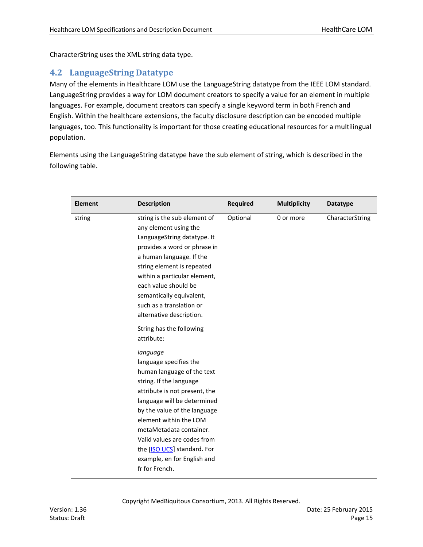CharacterString uses the XML string data type.

#### **4.2 LanguageString Datatype**

Many of the elements in Healthcare LOM use the LanguageString datatype from the IEEE LOM standard. LanguageString provides a way for LOM document creators to specify a value for an element in multiple languages. For example, document creators can specify a single keyword term in both French and English. Within the healthcare extensions, the faculty disclosure description can be encoded multiple languages, too. This functionality is important for those creating educational resources for a multilingual population.

Elements using the LanguageString datatype have the sub element of string, which is described in the following table.

| <b>Element</b> | <b>Description</b>                                                                                                                                                                                                                                                                                                                                              | <b>Required</b> | <b>Multiplicity</b> | <b>Datatype</b> |
|----------------|-----------------------------------------------------------------------------------------------------------------------------------------------------------------------------------------------------------------------------------------------------------------------------------------------------------------------------------------------------------------|-----------------|---------------------|-----------------|
| string         | string is the sub element of<br>any element using the<br>LanguageString datatype. It<br>provides a word or phrase in<br>a human language. If the<br>string element is repeated<br>within a particular element,<br>each value should be<br>semantically equivalent,<br>such as a translation or<br>alternative description.                                      | Optional        | 0 or more           | CharacterString |
|                | String has the following<br>attribute:                                                                                                                                                                                                                                                                                                                          |                 |                     |                 |
|                | language<br>language specifies the<br>human language of the text<br>string. If the language<br>attribute is not present, the<br>language will be determined<br>by the value of the language<br>element within the LOM<br>metaMetadata container.<br>Valid values are codes from<br>the [ISO UCS] standard. For<br>example, en for English and<br>fr for French. |                 |                     |                 |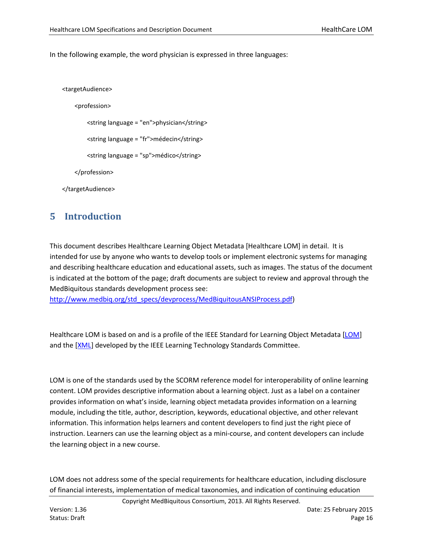In the following example, the word physician is expressed in three languages:

```
<targetAudience>
```
<profession>

<string language = "en">physician</string>

<string language = "fr">médecin</string>

<string language = "sp">médico</string>

</profession>

</targetAudience>

## **5 Introduction**

This document describes Healthcare Learning Object Metadata [Healthcare LOM] in detail. It is intended for use by anyone who wants to develop tools or implement electronic systems for managing and describing healthcare education and educational assets, such as images. The status of the document is indicated at the bottom of the page; draft documents are subject to review and approval through the MedBiquitous standards development process see:

[http://www.medbiq.org/std\\_specs/devprocess/MedBiquitousANSIProcess.pdf\)](http://www.medbiq.org/std_specs/devprocess/MedBiquitousANSIProcess.pdf)

Healthcare LOM is based on and is a profile of the IEEE Standard for Learning Object Metadata [\[LOM\]](#page-65-0) and the [\[XML\]](#page-66-0) developed by the IEEE Learning Technology Standards Committee.

LOM is one of the standards used by the SCORM reference model for interoperability of online learning content. LOM provides descriptive information about a learning object. Just as a label on a container provides information on what's inside, learning object metadata provides information on a learning module, including the title, author, description, keywords, educational objective, and other relevant information. This information helps learners and content developers to find just the right piece of instruction. Learners can use the learning object as a mini-course, and content developers can include the learning object in a new course.

LOM does not address some of the special requirements for healthcare education, including disclosure of financial interests, implementation of medical taxonomies, and indication of continuing education

Copyright MedBiquitous Consortium, 2013. All Rights Reserved.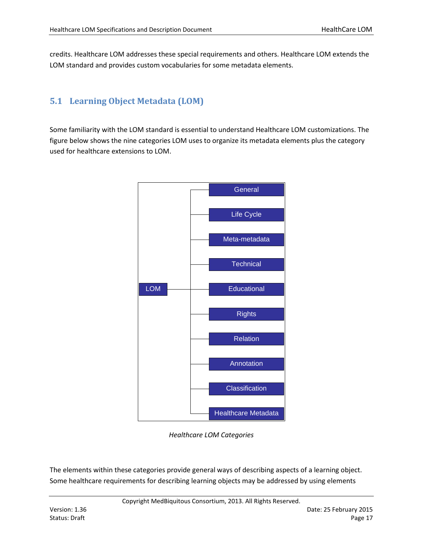credits. Healthcare LOM addresses these special requirements and others. Healthcare LOM extends the LOM standard and provides custom vocabularies for some metadata elements.

### **5.1 Learning Object Metadata (LOM)**

Some familiarity with the LOM standard is essential to understand Healthcare LOM customizations. The figure below shows the nine categories LOM uses to organize its metadata elements plus the category used for healthcare extensions to LOM.



*Healthcare LOM Categories*

The elements within these categories provide general ways of describing aspects of a learning object. Some healthcare requirements for describing learning objects may be addressed by using elements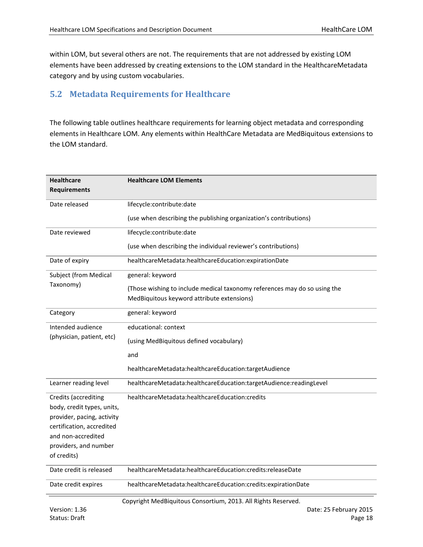within LOM, but several others are not. The requirements that are not addressed by existing LOM elements have been addressed by creating extensions to the LOM standard in the HealthcareMetadata category and by using custom vocabularies.

### **5.2 Metadata Requirements for Healthcare**

The following table outlines healthcare requirements for learning object metadata and corresponding elements in Healthcare LOM. Any elements within HealthCare Metadata are MedBiquitous extensions to the LOM standard.

| <b>Healthcare</b>           | <b>Healthcare LOM Elements</b>                                            |  |  |  |
|-----------------------------|---------------------------------------------------------------------------|--|--|--|
| <b>Requirements</b>         |                                                                           |  |  |  |
| Date released               | lifecycle:contribute:date                                                 |  |  |  |
|                             | (use when describing the publishing organization's contributions)         |  |  |  |
|                             |                                                                           |  |  |  |
| Date reviewed               | lifecycle:contribute:date                                                 |  |  |  |
|                             | (use when describing the individual reviewer's contributions)             |  |  |  |
| Date of expiry              | healthcareMetadata:healthcareEducation:expirationDate                     |  |  |  |
| Subject (from Medical       | general: keyword                                                          |  |  |  |
| Taxonomy)                   | (Those wishing to include medical taxonomy references may do so using the |  |  |  |
|                             | MedBiquitous keyword attribute extensions)                                |  |  |  |
| Category                    | general: keyword                                                          |  |  |  |
| Intended audience           | educational: context                                                      |  |  |  |
| (physician, patient, etc)   | (using MedBiquitous defined vocabulary)                                   |  |  |  |
|                             | and                                                                       |  |  |  |
|                             | healthcareMetadata:healthcareEducation:targetAudience                     |  |  |  |
| Learner reading level       | healthcareMetadata:healthcareEducation:targetAudience:readingLevel        |  |  |  |
| <b>Credits (accrediting</b> | healthcareMetadata:healthcareEducation:credits                            |  |  |  |
| body, credit types, units,  |                                                                           |  |  |  |
| provider, pacing, activity  |                                                                           |  |  |  |
| certification, accredited   |                                                                           |  |  |  |
| and non-accredited          |                                                                           |  |  |  |
| providers, and number       |                                                                           |  |  |  |
| of credits)                 |                                                                           |  |  |  |
| Date credit is released     | healthcareMetadata:healthcareEducation:credits:releaseDate                |  |  |  |
| Date credit expires         | healthcareMetadata:healthcareEducation:credits:expirationDate             |  |  |  |
|                             | Convight ModDiguitous Consectium 2012, All Dights Desemped                |  |  |  |

Copyright MedBiquitous Consortium, 2013. All Rights Reserved.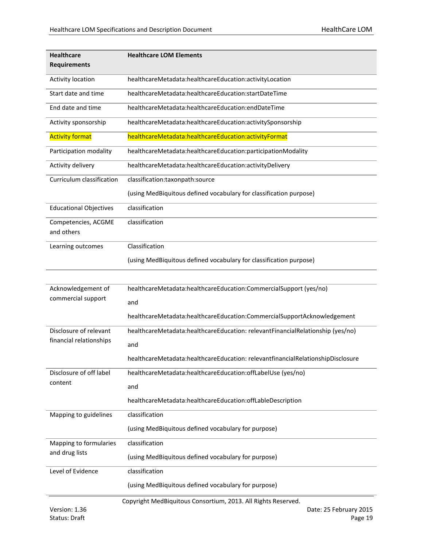| <b>Healthcare</b>                 | <b>Healthcare LOM Elements</b>                                                  |  |  |  |
|-----------------------------------|---------------------------------------------------------------------------------|--|--|--|
| <b>Requirements</b>               |                                                                                 |  |  |  |
| Activity location                 | healthcareMetadata:healthcareEducation:activityLocation                         |  |  |  |
| Start date and time               | healthcareMetadata:healthcareEducation:startDateTime                            |  |  |  |
| End date and time                 | healthcareMetadata:healthcareEducation:endDateTime                              |  |  |  |
| Activity sponsorship              | healthcareMetadata:healthcareEducation:activitySponsorship                      |  |  |  |
| <b>Activity format</b>            | healthcareMetadata:healthcareEducation:activityFormat                           |  |  |  |
| Participation modality            | healthcareMetadata:healthcareEducation:participationModality                    |  |  |  |
| Activity delivery                 | healthcareMetadata:healthcareEducation:activityDelivery                         |  |  |  |
| Curriculum classification         | classification:taxonpath:source                                                 |  |  |  |
|                                   | (using MedBiquitous defined vocabulary for classification purpose)              |  |  |  |
| <b>Educational Objectives</b>     | classification                                                                  |  |  |  |
| Competencies, ACGME<br>and others | classification                                                                  |  |  |  |
| Learning outcomes                 | Classification                                                                  |  |  |  |
|                                   | (using MedBiquitous defined vocabulary for classification purpose)              |  |  |  |
|                                   |                                                                                 |  |  |  |
| Acknowledgement of                | healthcareMetadata:healthcareEducation:CommercialSupport (yes/no)               |  |  |  |
| commercial support                | and                                                                             |  |  |  |
|                                   | healthcareMetadata:healthcareEducation:CommercialSupportAcknowledgement         |  |  |  |
| Disclosure of relevant            | healthcareMetadata:healthcareEducation: relevantFinancialRelationship (yes/no)  |  |  |  |
| financial relationships           | and                                                                             |  |  |  |
|                                   | healthcareMetadata:healthcareEducation: relevantfinancialRelationshipDisclosure |  |  |  |
| Disclosure of off label           | healthcareMetadata:healthcareEducation:offLabelUse (yes/no)                     |  |  |  |
| content                           | and                                                                             |  |  |  |
|                                   | healthcareMetadata:healthcareEducation:offLableDescription                      |  |  |  |
| Mapping to guidelines             | classification                                                                  |  |  |  |
|                                   | (using MedBiquitous defined vocabulary for purpose)                             |  |  |  |
| Mapping to formularies            | classification                                                                  |  |  |  |
| and drug lists                    | (using MedBiquitous defined vocabulary for purpose)                             |  |  |  |
| Level of Evidence                 | classification                                                                  |  |  |  |
|                                   | (using MedBiquitous defined vocabulary for purpose)                             |  |  |  |
|                                   | Copyright MedBiquitous Consortium, 2013. All Rights Reserved.                   |  |  |  |
| Version: 1.36                     | Date: 25 February 2015                                                          |  |  |  |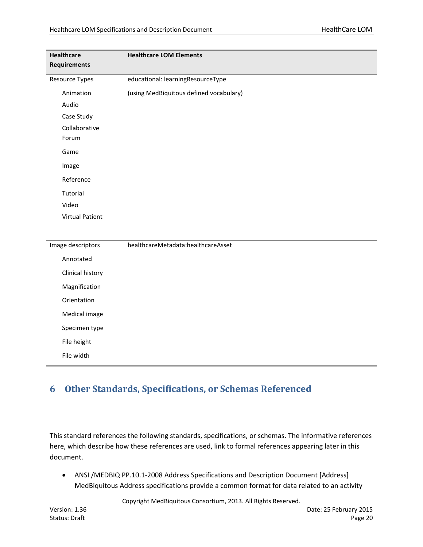| <b>Healthcare</b><br><b>Requirements</b> | <b>Healthcare LOM Elements</b>          |
|------------------------------------------|-----------------------------------------|
| <b>Resource Types</b>                    | educational: learningResourceType       |
| Animation                                | (using MedBiquitous defined vocabulary) |
| Audio                                    |                                         |
| Case Study                               |                                         |
| Collaborative<br>Forum                   |                                         |
| Game                                     |                                         |
| Image                                    |                                         |
| Reference                                |                                         |
| Tutorial                                 |                                         |
| Video                                    |                                         |
| <b>Virtual Patient</b>                   |                                         |
|                                          |                                         |
| Image descriptors                        | healthcareMetadata:healthcareAsset      |
| Annotated                                |                                         |
| Clinical history                         |                                         |
| Magnification                            |                                         |
| Orientation                              |                                         |
| Medical image                            |                                         |
| Specimen type                            |                                         |
| File height                              |                                         |
| File width                               |                                         |

## **6 Other Standards, Specifications, or Schemas Referenced**

This standard references the following standards, specifications, or schemas. The informative references here, which describe how these references are used, link to formal references appearing later in this document.

• ANSI /MEDBIQ PP.10.1-2008 Address Specifications and Description Document [Address] MedBiquitous Address specifications provide a common format for data related to an activity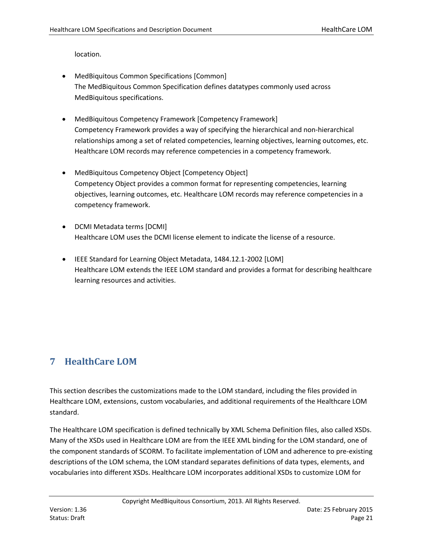location.

- MedBiquitous Common Specifications [Common] The MedBiquitous Common Specification defines datatypes commonly used across MedBiquitous specifications.
- MedBiquitous Competency Framework [Competency Framework] Competency Framework provides a way of specifying the hierarchical and non-hierarchical relationships among a set of related competencies, learning objectives, learning outcomes, etc. Healthcare LOM records may reference competencies in a competency framework.
- MedBiquitous Competency Object [Competency Object] Competency Object provides a common format for representing competencies, learning objectives, learning outcomes, etc. Healthcare LOM records may reference competencies in a competency framework.
- DCMI Metadata terms [DCMI] Healthcare LOM uses the DCMI license element to indicate the license of a resource.
- IEEE Standard for Learning Object Metadata, 1484.12.1-2002 [LOM] Healthcare LOM extends the IEEE LOM standard and provides a format for describing healthcare learning resources and activities.

## **7 HealthCare LOM**

This section describes the customizations made to the LOM standard, including the files provided in Healthcare LOM, extensions, custom vocabularies, and additional requirements of the Healthcare LOM standard.

The Healthcare LOM specification is defined technically by XML Schema Definition files, also called XSDs. Many of the XSDs used in Healthcare LOM are from the IEEE XML binding for the LOM standard, one of the component standards of SCORM. To facilitate implementation of LOM and adherence to pre-existing descriptions of the LOM schema, the LOM standard separates definitions of data types, elements, and vocabularies into different XSDs. Healthcare LOM incorporates additional XSDs to customize LOM for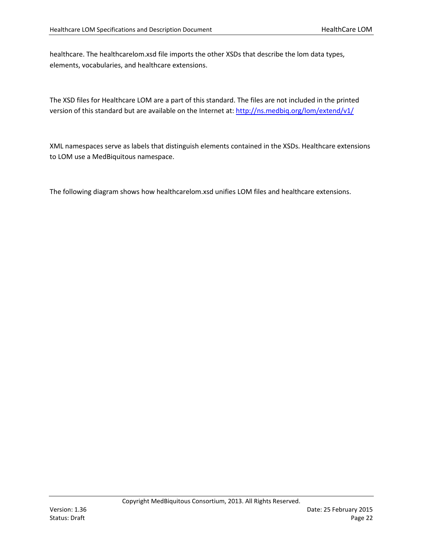healthcare. The healthcarelom.xsd file imports the other XSDs that describe the lom data types, elements, vocabularies, and healthcare extensions.

The XSD files for Healthcare LOM are a part of this standard. The files are not included in the printed version of this standard but are available on the Internet at[: http://ns.medbiq.org/lom/extend/v1/](http://ns.medbiq.org/lom/extend/v1/)

XML namespaces serve as labels that distinguish elements contained in the XSDs. Healthcare extensions to LOM use a MedBiquitous namespace.

The following diagram shows how healthcarelom.xsd unifies LOM files and healthcare extensions.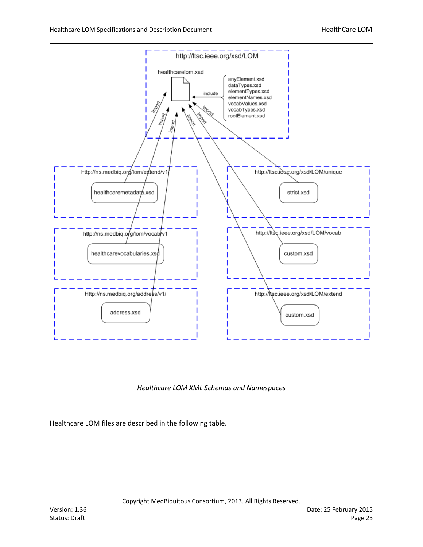

#### *Healthcare LOM XML Schemas and Namespaces*

Healthcare LOM files are described in the following table.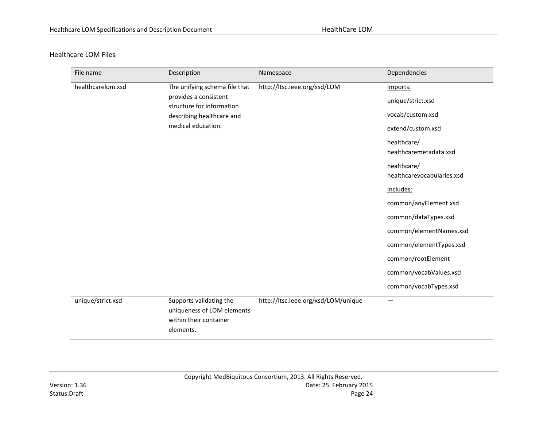#### Healthcare LOM Files

| File name         | Description                                                                                  | Namespace                           | Dependencies                              |
|-------------------|----------------------------------------------------------------------------------------------|-------------------------------------|-------------------------------------------|
| healthcarelom.xsd | The unifying schema file that                                                                | http://ltsc.ieee.org/xsd/LOM        | Imports:                                  |
|                   | provides a consistent<br>structure for information                                           |                                     | unique/strict.xsd                         |
|                   | describing healthcare and                                                                    |                                     | vocab/custom.xsd                          |
|                   | medical education.                                                                           |                                     | extend/custom.xsd                         |
|                   |                                                                                              |                                     | healthcare/<br>healthcaremetadata.xsd     |
|                   |                                                                                              |                                     | healthcare/<br>healthcarevocabularies.xsd |
|                   |                                                                                              |                                     | Includes:                                 |
|                   |                                                                                              |                                     | common/anyElement.xsd                     |
|                   |                                                                                              |                                     | common/dataTypes.xsd                      |
|                   |                                                                                              |                                     | common/elementNames.xsd                   |
|                   |                                                                                              |                                     | common/elementTypes.xsd                   |
|                   |                                                                                              |                                     | common/rootElement                        |
|                   |                                                                                              |                                     | common/vocabValues.xsd                    |
|                   |                                                                                              |                                     | common/vocabTypes.xsd                     |
| unique/strict.xsd | Supports validating the<br>uniqueness of LOM elements<br>within their container<br>elements. | http://ltsc.ieee.org/xsd/LOM/unique |                                           |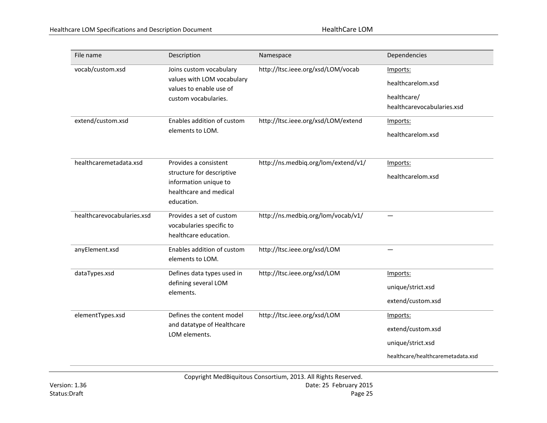| File name                             | Description                                                                                                                            | Namespace                                                                 | Dependencies                                                                           |
|---------------------------------------|----------------------------------------------------------------------------------------------------------------------------------------|---------------------------------------------------------------------------|----------------------------------------------------------------------------------------|
| vocab/custom.xsd<br>extend/custom.xsd | Joins custom vocabulary<br>values with LOM vocabulary<br>values to enable use of<br>custom vocabularies.<br>Enables addition of custom | http://ltsc.ieee.org/xsd/LOM/vocab<br>http://ltsc.ieee.org/xsd/LOM/extend | Imports:<br>healthcarelom.xsd<br>healthcare/<br>healthcarevocabularies.xsd<br>Imports: |
|                                       | elements to LOM.                                                                                                                       |                                                                           | healthcarelom.xsd                                                                      |
| healthcaremetadata.xsd                | Provides a consistent                                                                                                                  | http://ns.medbiq.org/lom/extend/v1/                                       | Imports:                                                                               |
|                                       | structure for descriptive<br>information unique to<br>healthcare and medical<br>education.                                             |                                                                           | healthcarelom.xsd                                                                      |
| healthcarevocabularies.xsd            | Provides a set of custom<br>vocabularies specific to<br>healthcare education.                                                          | http://ns.medbiq.org/lom/vocab/v1/                                        |                                                                                        |
| anyElement.xsd                        | Enables addition of custom<br>elements to LOM.                                                                                         | http://ltsc.ieee.org/xsd/LOM                                              |                                                                                        |
| dataTypes.xsd                         | Defines data types used in<br>defining several LOM<br>elements.                                                                        | http://ltsc.ieee.org/xsd/LOM                                              | Imports:                                                                               |
|                                       |                                                                                                                                        |                                                                           | unique/strict.xsd                                                                      |
|                                       |                                                                                                                                        |                                                                           | extend/custom.xsd                                                                      |
| elementTypes.xsd                      | Defines the content model                                                                                                              | http://ltsc.ieee.org/xsd/LOM                                              | Imports:                                                                               |
|                                       | and datatype of Healthcare<br>LOM elements.                                                                                            |                                                                           | extend/custom.xsd                                                                      |
|                                       |                                                                                                                                        |                                                                           | unique/strict.xsd                                                                      |
|                                       |                                                                                                                                        |                                                                           | healthcare/healthcaremetadata.xsd                                                      |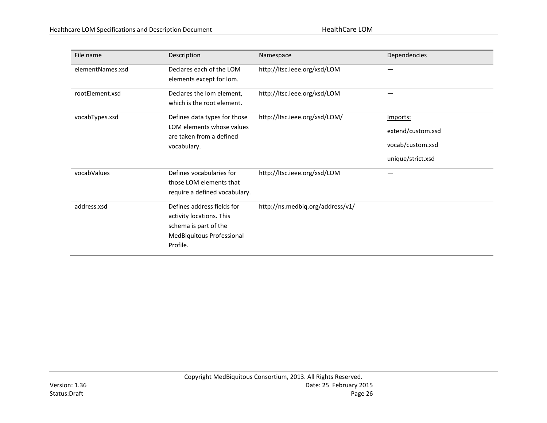| File name        | Description                                                                                                              | Namespace                        | Dependencies      |
|------------------|--------------------------------------------------------------------------------------------------------------------------|----------------------------------|-------------------|
| elementNames.xsd | Declares each of the LOM<br>elements except for lom.                                                                     | http://ltsc.ieee.org/xsd/LOM     |                   |
| rootElement.xsd  | Declares the lom element,<br>which is the root element.                                                                  | http://ltsc.ieee.org/xsd/LOM     |                   |
| vocabTypes.xsd   | Defines data types for those                                                                                             | http://ltsc.ieee.org/xsd/LOM/    | Imports:          |
|                  | LOM elements whose values<br>are taken from a defined<br>vocabulary.                                                     |                                  | extend/custom.xsd |
|                  |                                                                                                                          |                                  | vocab/custom.xsd  |
|                  |                                                                                                                          |                                  | unique/strict.xsd |
| vocabValues      | Defines vocabularies for<br>those LOM elements that<br>require a defined vocabulary.                                     | http://ltsc.ieee.org/xsd/LOM     |                   |
| address.xsd      | Defines address fields for<br>activity locations. This<br>schema is part of the<br>MedBiquitous Professional<br>Profile. | http://ns.medbiq.org/address/v1/ |                   |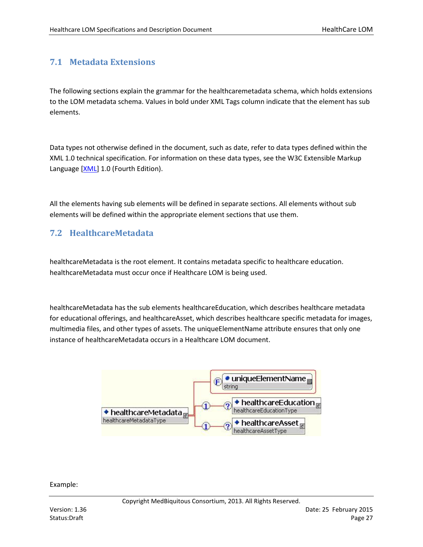## **7.1 Metadata Extensions**

The following sections explain the grammar for the healthcaremetadata schema, which holds extensions to the LOM metadata schema. Values in bold under XML Tags column indicate that the element has sub elements.

Data types not otherwise defined in the document, such as date, refer to data types defined within the XML 1.0 technical specification. For information on these data types, see the W3C Extensible Markup Language [\[XML\]](#page-66-0) 1.0 (Fourth Edition).

All the elements having sub elements will be defined in separate sections. All elements without sub elements will be defined within the appropriate element sections that use them.

#### **7.2 HealthcareMetadata**

healthcareMetadata is the root element. It contains metadata specific to healthcare education. healthcareMetadata must occur once if Healthcare LOM is being used.

healthcareMetadata has the sub elements healthcareEducation, which describes healthcare metadata for educational offerings, and healthcareAsset, which describes healthcare specific metadata for images, multimedia files, and other types of assets. The uniqueElementName attribute ensures that only one instance of healthcareMetadata occurs in a Healthcare LOM document.



Example: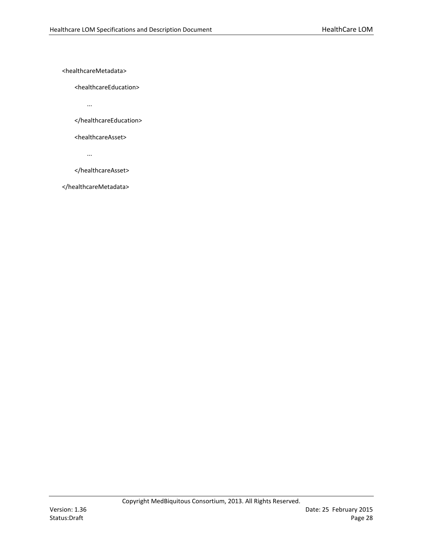<healthcareMetadata>

<healthcareEducation>

...

</healthcareEducation>

<healthcareAsset>

...

</healthcareAsset>

</healthcareMetadata>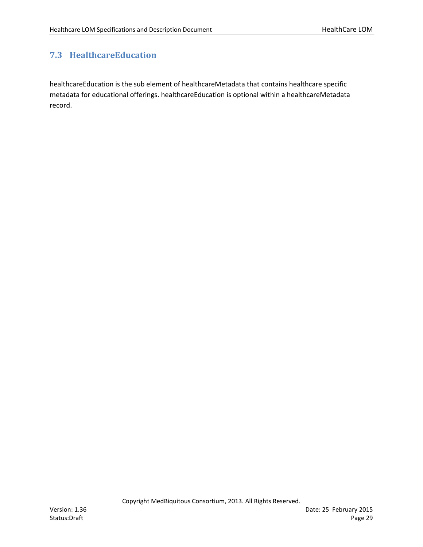## **7.3 HealthcareEducation**

healthcareEducation is the sub element of healthcareMetadata that contains healthcare specific metadata for educational offerings. healthcareEducation is optional within a healthcareMetadata record.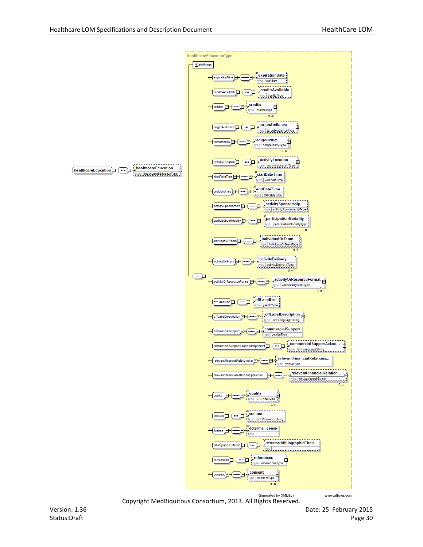

Copyright MedBiquitous Consortium, 2013. All Rights Reserved.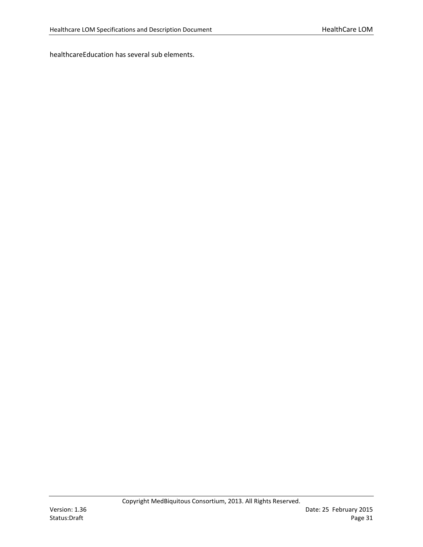healthcareEducation has several sub elements.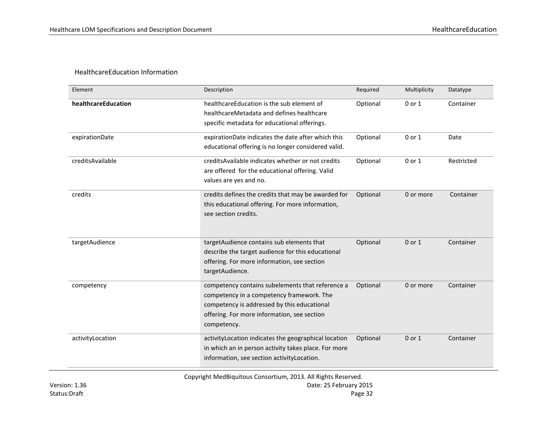#### HealthcareEducation Information

| Element             | Description                                                                                                                                                                                                | Required | Multiplicity | Datatype   |
|---------------------|------------------------------------------------------------------------------------------------------------------------------------------------------------------------------------------------------------|----------|--------------|------------|
| healthcareEducation | healthcareEducation is the sub element of<br>healthcareMetadata and defines healthcare<br>specific metadata for educational offerings.                                                                     | Optional | 0 or 1       | Container  |
| expirationDate      | expirationDate indicates the date after which this<br>educational offering is no longer considered valid.                                                                                                  | Optional | 0 or 1       | Date       |
| creditsAvailable    | credits Available indicates whether or not credits<br>are offered for the educational offering. Valid<br>values are yes and no.                                                                            | Optional | 0 or 1       | Restricted |
| credits             | credits defines the credits that may be awarded for<br>this educational offering. For more information,<br>see section credits.                                                                            | Optional | 0 or more    | Container  |
| targetAudience      | targetAudience contains sub elements that<br>describe the target audience for this educational<br>offering. For more information, see section<br>targetAudience.                                           | Optional | 0 or 1       | Container  |
| competency          | competency contains subelements that reference a<br>competency in a competency framework. The<br>competency is addressed by this educational<br>offering. For more information, see section<br>competency. | Optional | 0 or more    | Container  |
| activityLocation    | activityLocation indicates the geographical location<br>in which an in person activity takes place. For more<br>information, see section activity Location.                                                | Optional | 0 or 1       | Container  |

Copyright MedBiquitous Consortium, 2013. All Rights Reserved.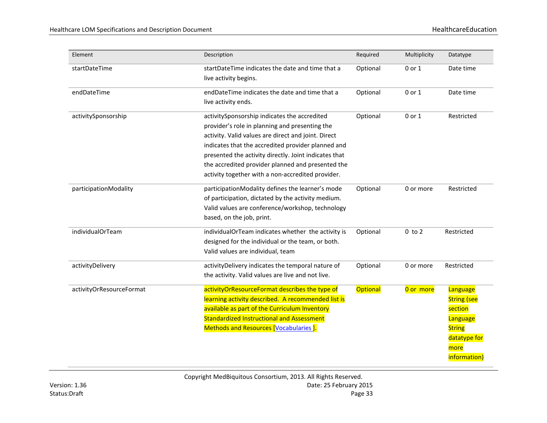| Element                  | Description                                                                                                                                                                                                                                                                                                                                                                    | Required        | Multiplicity | Datatype                                                                                                       |
|--------------------------|--------------------------------------------------------------------------------------------------------------------------------------------------------------------------------------------------------------------------------------------------------------------------------------------------------------------------------------------------------------------------------|-----------------|--------------|----------------------------------------------------------------------------------------------------------------|
| startDateTime            | startDateTime indicates the date and time that a<br>live activity begins.                                                                                                                                                                                                                                                                                                      | Optional        | 0 or 1       | Date time                                                                                                      |
| endDateTime              | endDateTime indicates the date and time that a<br>live activity ends.                                                                                                                                                                                                                                                                                                          | Optional        | 0 or 1       | Date time                                                                                                      |
| activitySponsorship      | activitySponsorship indicates the accredited<br>provider's role in planning and presenting the<br>activity. Valid values are direct and joint. Direct<br>indicates that the accredited provider planned and<br>presented the activity directly. Joint indicates that<br>the accredited provider planned and presented the<br>activity together with a non-accredited provider. | Optional        | 0 or 1       | Restricted                                                                                                     |
| participationModality    | participationModality defines the learner's mode<br>of participation, dictated by the activity medium.<br>Valid values are conference/workshop, technology<br>based, on the job, print.                                                                                                                                                                                        | Optional        | 0 or more    | Restricted                                                                                                     |
| individualOrTeam         | individualOrTeam indicates whether the activity is<br>designed for the individual or the team, or both.<br>Valid values are individual, team                                                                                                                                                                                                                                   | Optional        | $0$ to $2$   | Restricted                                                                                                     |
| activityDelivery         | activityDelivery indicates the temporal nature of<br>the activity. Valid values are live and not live.                                                                                                                                                                                                                                                                         | Optional        | 0 or more    | Restricted                                                                                                     |
| activityOrResourceFormat | activityOrResourceFormat describes the type of<br>learning activity described. A recommended list is<br>available as part of the Curriculum Inventory<br><b>Standardized Instructional and Assessment</b><br>Methods and Resources [Vocabularies ].                                                                                                                            | <b>Optional</b> | 0 or more    | Language<br><b>String (see</b><br>section<br>Language<br><b>String</b><br>datatype for<br>more<br>information) |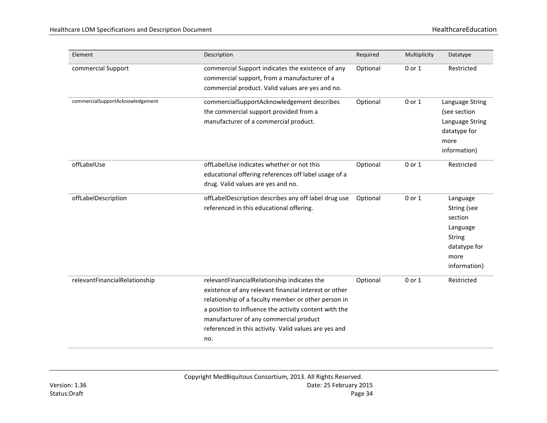| Element                          | Description                                                                                                                                                                                                                                                                                                                    | Required | Multiplicity | Datatype                                                                                                |
|----------------------------------|--------------------------------------------------------------------------------------------------------------------------------------------------------------------------------------------------------------------------------------------------------------------------------------------------------------------------------|----------|--------------|---------------------------------------------------------------------------------------------------------|
| commercial Support               | commercial Support indicates the existence of any<br>commercial support, from a manufacturer of a<br>commercial product. Valid values are yes and no.                                                                                                                                                                          | Optional | 0 or 1       | Restricted                                                                                              |
| commercialSupportAcknowledgement | commercialSupportAcknowledgement describes<br>the commercial support provided from a<br>manufacturer of a commercial product.                                                                                                                                                                                                  | Optional | 0 or 1       | Language String<br>(see section<br>Language String<br>datatype for<br>more<br>information)              |
| offLabelUse                      | offLabelUse indicates whether or not this<br>educational offering references off label usage of a<br>drug. Valid values are yes and no.                                                                                                                                                                                        | Optional | 0 or 1       | Restricted                                                                                              |
| offLabelDescription              | offLabelDescription describes any off label drug use<br>referenced in this educational offering.                                                                                                                                                                                                                               | Optional | 0 or 1       | Language<br>String (see<br>section<br>Language<br><b>String</b><br>datatype for<br>more<br>information) |
| relevantFinancialRelationship    | relevantFinancialRelationship indicates the<br>existence of any relevant financial interest or other<br>relationship of a faculty member or other person in<br>a position to influence the activity content with the<br>manufacturer of any commercial product<br>referenced in this activity. Valid values are yes and<br>no. | Optional | 0 or 1       | Restricted                                                                                              |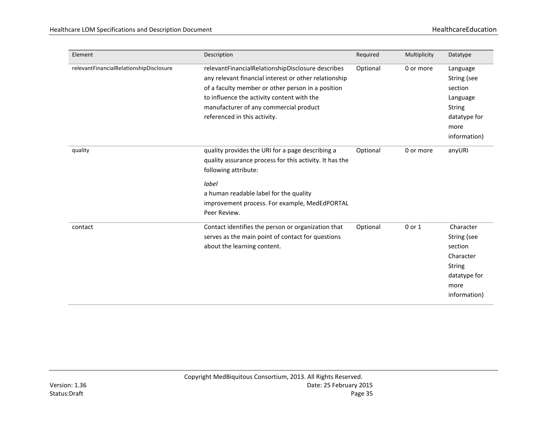| Element                                 | Description                                                                                                                                                                                                                                                                             | Required | Multiplicity | Datatype                                                                                                  |
|-----------------------------------------|-----------------------------------------------------------------------------------------------------------------------------------------------------------------------------------------------------------------------------------------------------------------------------------------|----------|--------------|-----------------------------------------------------------------------------------------------------------|
| relevantFinancialRelationshipDisclosure | relevantFinancialRelationshipDisclosure describes<br>any relevant financial interest or other relationship<br>of a faculty member or other person in a position<br>to influence the activity content with the<br>manufacturer of any commercial product<br>referenced in this activity. | Optional | 0 or more    | Language<br>String (see<br>section<br>Language<br><b>String</b><br>datatype for<br>more<br>information)   |
| quality                                 | quality provides the URI for a page describing a<br>quality assurance process for this activity. It has the<br>following attribute:<br>label<br>a human readable label for the quality<br>improvement process. For example, MedEdPORTAL<br>Peer Review.                                 | Optional | 0 or more    | anyURI                                                                                                    |
| contact                                 | Contact identifies the person or organization that<br>serves as the main point of contact for questions<br>about the learning content.                                                                                                                                                  | Optional | 0 or 1       | Character<br>String (see<br>section<br>Character<br><b>String</b><br>datatype for<br>more<br>information) |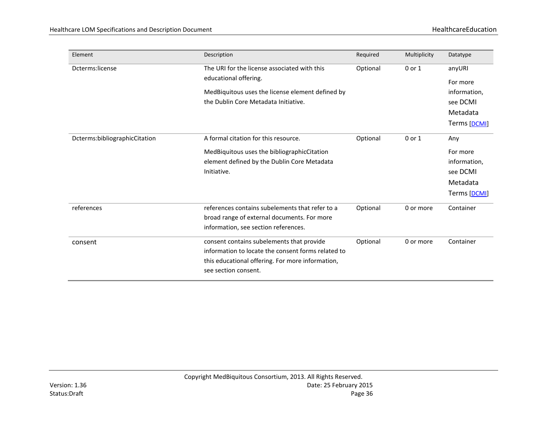| Element                       | Description                                                                                                                                                                 | Required | Multiplicity | Datatype                                                                   |
|-------------------------------|-----------------------------------------------------------------------------------------------------------------------------------------------------------------------------|----------|--------------|----------------------------------------------------------------------------|
| Dcterms:license               | The URI for the license associated with this<br>educational offering.<br>MedBiquitous uses the license element defined by<br>the Dublin Core Metadata Initiative.           | Optional | $0$ or $1$   | anyURI<br>For more<br>information,<br>see DCMI<br>Metadata<br>Terms [DCMI] |
| Dcterms:bibliographicCitation | A formal citation for this resource.<br>MedBiquitous uses the bibliographicCitation<br>element defined by the Dublin Core Metadata<br>Initiative.                           | Optional | 0 or 1       | Any<br>For more<br>information,<br>see DCMI<br>Metadata<br>Terms [DCMI]    |
| references                    | references contains subelements that refer to a<br>broad range of external documents. For more<br>information, see section references.                                      | Optional | 0 or more    | Container                                                                  |
| consent                       | consent contains subelements that provide<br>information to locate the consent forms related to<br>this educational offering. For more information,<br>see section consent. | Optional | 0 or more    | Container                                                                  |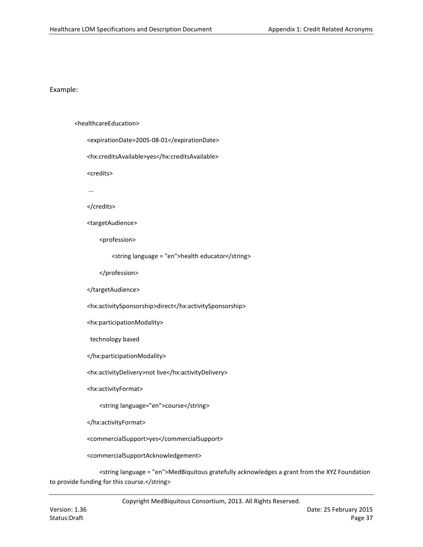#### <healthcareEducation>

- <expirationDate>2005-08-01</expirationDate>
- <hx:creditsAvailable>yes</hx:creditsAvailable>
- <credits>
- ...

#### </credits>

<targetAudience>

<profession>

<string language = "en">health educator</string>

</profession>

#### </targetAudience>

<hx:activitySponsorship>direct</hx:activitySponsorship>

<hx:participationModality>

technology based

</hx:participationModality>

<hx:activityDelivery>not live</hx:activityDelivery>

<hx:activityFormat>

<string language="en">course</string>

</hx:activityFormat>

<commercialSupport>yes</commercialSupport>

<commercialSupportAcknowledgement>

<string language = "en">MedBiquitous gratefully acknowledges a grant from the XYZ Foundation to provide funding for this course.</string>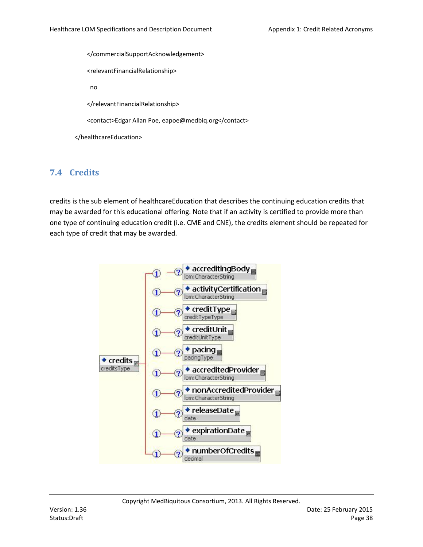</commercialSupportAcknowledgement>

<relevantFinancialRelationship>

no

</relevantFinancialRelationship>

<contact>Edgar Allan Poe, eapoe@medbiq.org</contact>

</healthcareEducation>

# **7.4 Credits**

credits is the sub element of healthcareEducation that describes the continuing education credits that may be awarded for this educational offering. Note that if an activity is certified to provide more than one type of continuing education credit (i.e. CME and CNE), the credits element should be repeated for each type of credit that may be awarded.

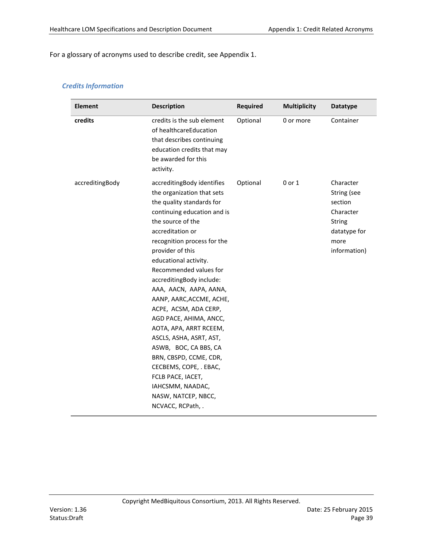For a glossary of acronyms used to describe credit, see Appendix 1.

### *Credits Information*

| <b>Element</b>  | <b>Description</b>                                                                                                                                                                                                                                                                                                                                                                                                                                                                                                                                                                                                              | <b>Required</b> | <b>Multiplicity</b> | <b>Datatype</b>                                                                                           |
|-----------------|---------------------------------------------------------------------------------------------------------------------------------------------------------------------------------------------------------------------------------------------------------------------------------------------------------------------------------------------------------------------------------------------------------------------------------------------------------------------------------------------------------------------------------------------------------------------------------------------------------------------------------|-----------------|---------------------|-----------------------------------------------------------------------------------------------------------|
| credits         | credits is the sub element<br>of healthcareEducation<br>that describes continuing<br>education credits that may<br>be awarded for this<br>activity.                                                                                                                                                                                                                                                                                                                                                                                                                                                                             | Optional        | 0 or more           | Container                                                                                                 |
| accreditingBody | accreditingBody identifies<br>the organization that sets<br>the quality standards for<br>continuing education and is<br>the source of the<br>accreditation or<br>recognition process for the<br>provider of this<br>educational activity.<br>Recommended values for<br>accreditingBody include:<br>AAA, AACN, AAPA, AANA,<br>AANP, AARC, ACCME, ACHE,<br>ACPE, ACSM, ADA CERP,<br>AGD PACE, AHIMA, ANCC,<br>AOTA, APA, ARRT RCEEM,<br>ASCLS, ASHA, ASRT, AST,<br>ASWB, BOC, CA BBS, CA<br>BRN, CBSPD, CCME, CDR,<br>CECBEMS, COPE, . EBAC,<br>FCLB PACE, IACET,<br>IAHCSMM, NAADAC,<br>NASW, NATCEP, NBCC,<br>NCVACC, RCPath, . | Optional        | 0 or 1              | Character<br>String (see<br>section<br>Character<br><b>String</b><br>datatype for<br>more<br>information) |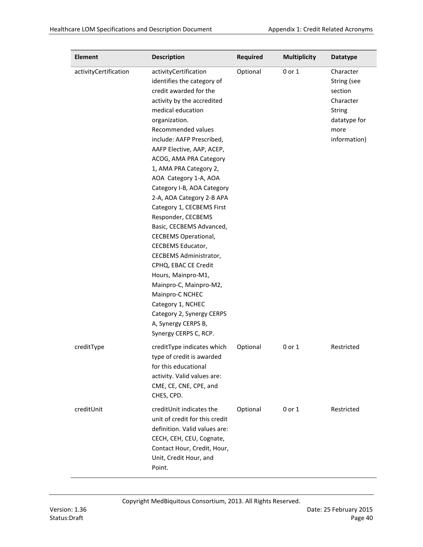| <b>Element</b>        | <b>Description</b>                                                                                                                                                                                                                                                                                                                                                                                                                                                                                                                                                                                                                                                                                                                         | <b>Required</b> | <b>Multiplicity</b> | <b>Datatype</b>                                                                                           |
|-----------------------|--------------------------------------------------------------------------------------------------------------------------------------------------------------------------------------------------------------------------------------------------------------------------------------------------------------------------------------------------------------------------------------------------------------------------------------------------------------------------------------------------------------------------------------------------------------------------------------------------------------------------------------------------------------------------------------------------------------------------------------------|-----------------|---------------------|-----------------------------------------------------------------------------------------------------------|
| activityCertification | activityCertification<br>identifies the category of<br>credit awarded for the<br>activity by the accredited<br>medical education<br>organization.<br>Recommended values<br>include: AAFP Prescribed,<br>AAFP Elective, AAP, ACEP,<br>ACOG, AMA PRA Category<br>1, AMA PRA Category 2,<br>AOA Category 1-A, AOA<br>Category I-B, AOA Category<br>2-A, AOA Category 2-B APA<br>Category 1, CECBEMS First<br>Responder, CECBEMS<br>Basic, CECBEMS Advanced,<br><b>CECBEMS Operational,</b><br><b>CECBEMS Educator,</b><br>CECBEMS Administrator,<br>CPHQ, EBAC CE Credit<br>Hours, Mainpro-M1,<br>Mainpro-C, Mainpro-M2,<br>Mainpro-C NCHEC<br>Category 1, NCHEC<br>Category 2, Synergy CERPS<br>A, Synergy CERPS B,<br>Synergy CERPS C, RCP. | Optional        | 0 or 1              | Character<br>String (see<br>section<br>Character<br><b>String</b><br>datatype for<br>more<br>information) |
| creditType            | creditType indicates which<br>type of credit is awarded<br>for this educational<br>activity. Valid values are:<br>CME, CE, CNE, CPE, and<br>CHES, CPD.                                                                                                                                                                                                                                                                                                                                                                                                                                                                                                                                                                                     | Optional        | 0 or 1              | Restricted                                                                                                |
| creditUnit            | creditUnit indicates the<br>unit of credit for this credit<br>definition. Valid values are:<br>CECH, CEH, CEU, Cognate,<br>Contact Hour, Credit, Hour,<br>Unit, Credit Hour, and<br>Point.                                                                                                                                                                                                                                                                                                                                                                                                                                                                                                                                                 | Optional        | $0$ or $1$          | Restricted                                                                                                |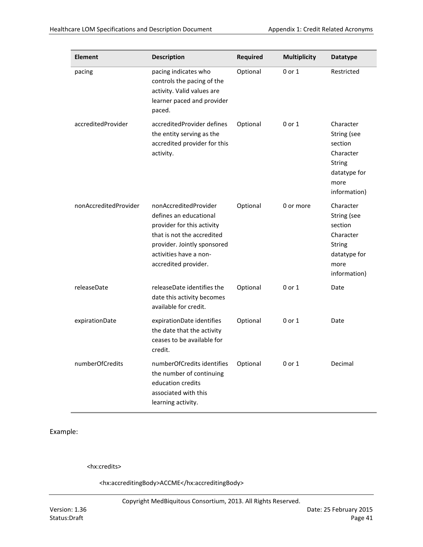| <b>Element</b>        | <b>Description</b>                                                                                                                                                                           | <b>Required</b> | <b>Multiplicity</b> | <b>Datatype</b>                                                                                           |
|-----------------------|----------------------------------------------------------------------------------------------------------------------------------------------------------------------------------------------|-----------------|---------------------|-----------------------------------------------------------------------------------------------------------|
| pacing                | pacing indicates who<br>controls the pacing of the<br>activity. Valid values are<br>learner paced and provider<br>paced.                                                                     | Optional        | $0$ or $1$          | Restricted                                                                                                |
| accreditedProvider    | accreditedProvider defines<br>the entity serving as the<br>accredited provider for this<br>activity.                                                                                         | Optional        | 0 or 1              | Character<br>String (see<br>section<br>Character<br><b>String</b><br>datatype for<br>more<br>information) |
| nonAccreditedProvider | nonAccreditedProvider<br>defines an educational<br>provider for this activity<br>that is not the accredited<br>provider. Jointly sponsored<br>activities have a non-<br>accredited provider. | Optional        | 0 or more           | Character<br>String (see<br>section<br>Character<br><b>String</b><br>datatype for<br>more<br>information) |
| releaseDate           | releaseDate identifies the<br>date this activity becomes<br>available for credit.                                                                                                            | Optional        | $0$ or $1$          | Date                                                                                                      |
| expirationDate        | expirationDate identifies<br>the date that the activity<br>ceases to be available for<br>credit.                                                                                             | Optional        | 0 or 1              | Date                                                                                                      |
| numberOfCredits       | numberOfCredits identifies<br>the number of continuing<br>education credits<br>associated with this<br>learning activity.                                                                    | Optional        | 0 or 1              | Decimal                                                                                                   |

<hx:credits>

<hx:accreditingBody>ACCME</hx:accreditingBody>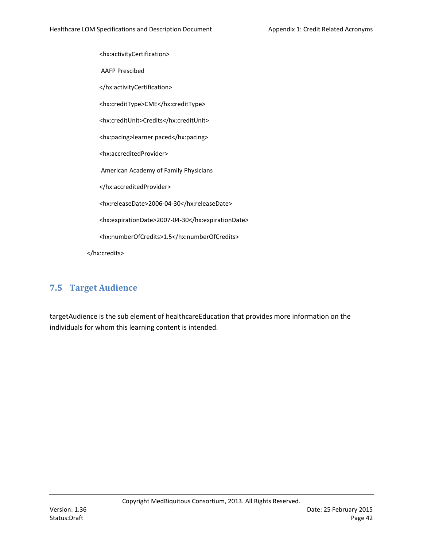<hx:activityCertification>

AAFP Prescibed

</hx:activityCertification>

<hx:creditType>CME</hx:creditType>

<hx:creditUnit>Credits</hx:creditUnit>

<hx:pacing>learner paced</hx:pacing>

<hx:accreditedProvider>

American Academy of Family Physicians

</hx:accreditedProvider>

<hx:releaseDate>2006-04-30</hx:releaseDate>

<hx:expirationDate>2007-04-30</hx:expirationDate>

<hx:numberOfCredits>1.5</hx:numberOfCredits>

</hx:credits>

## **7.5 Target Audience**

targetAudience is the sub element of healthcareEducation that provides more information on the individuals for whom this learning content is intended.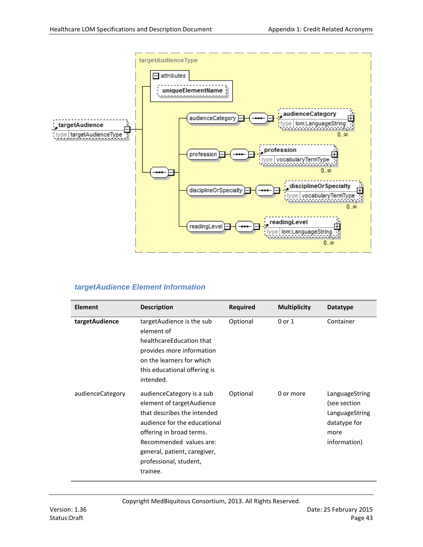

## *targetAudience Element Information*

| <b>Element</b>   | <b>Description</b>                                                                                                                                                                                                                                   | <b>Required</b> | <b>Multiplicity</b> | <b>Datatype</b>                                                                          |
|------------------|------------------------------------------------------------------------------------------------------------------------------------------------------------------------------------------------------------------------------------------------------|-----------------|---------------------|------------------------------------------------------------------------------------------|
| targetAudience   | targetAudience is the sub<br>element of<br>healthcareEducation that<br>provides more information<br>on the learners for which<br>this educational offering is<br>intended.                                                                           | Optional        | 0 or 1              | Container                                                                                |
| audienceCategory | audience Category is a sub<br>element of target Audience<br>that describes the intended<br>audience for the educational<br>offering in broad terms.<br>Recommended values are:<br>general, patient, caregiver,<br>professional, student,<br>trainee. | Optional        | 0 or more           | LanguageString<br>(see section<br>LanguageString<br>datatype for<br>more<br>information) |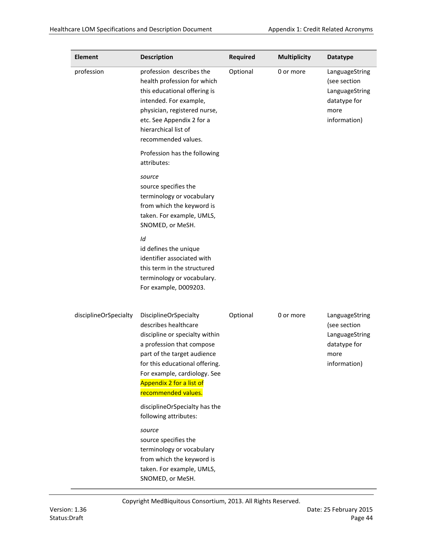| <b>Element</b>        | <b>Description</b>                                                                                                                                                                                                                                                      | <b>Required</b> | <b>Multiplicity</b> | <b>Datatype</b>                                                                          |
|-----------------------|-------------------------------------------------------------------------------------------------------------------------------------------------------------------------------------------------------------------------------------------------------------------------|-----------------|---------------------|------------------------------------------------------------------------------------------|
| profession            | profession describes the<br>health profession for which<br>this educational offering is<br>intended. For example,<br>physician, registered nurse,<br>etc. See Appendix 2 for a<br>hierarchical list of<br>recommended values.                                           | Optional        | 0 or more           | LanguageString<br>(see section<br>LanguageString<br>datatype for<br>more<br>information) |
|                       | Profession has the following<br>attributes:                                                                                                                                                                                                                             |                 |                     |                                                                                          |
|                       | source<br>source specifies the<br>terminology or vocabulary<br>from which the keyword is<br>taken. For example, UMLS,<br>SNOMED, or MeSH.                                                                                                                               |                 |                     |                                                                                          |
|                       | Id<br>id defines the unique<br>identifier associated with<br>this term in the structured<br>terminology or vocabulary.<br>For example, D009203.                                                                                                                         |                 |                     |                                                                                          |
| disciplineOrSpecialty | <b>DisciplineOrSpecialty</b><br>describes healthcare<br>discipline or specialty within<br>a profession that compose<br>part of the target audience<br>for this educational offering.<br>For example, cardiology. See<br>Appendix 2 for a list of<br>recommended values. | Optional        | 0 or more           | LanguageString<br>(see section<br>LanguageString<br>datatype for<br>more<br>information) |
|                       | disciplineOrSpecialty has the<br>following attributes:                                                                                                                                                                                                                  |                 |                     |                                                                                          |
|                       | source<br>source specifies the<br>terminology or vocabulary<br>from which the keyword is<br>taken. For example, UMLS,<br>SNOMED, or MeSH.                                                                                                                               |                 |                     |                                                                                          |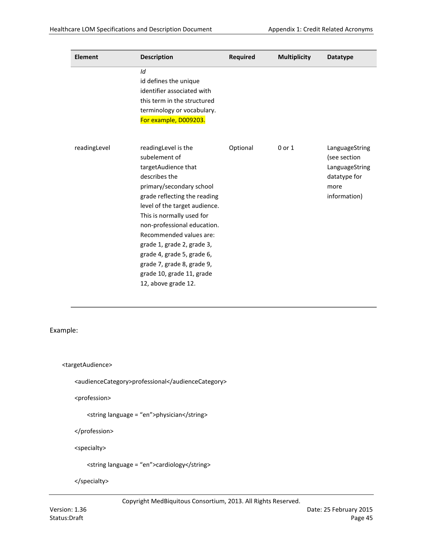| <b>Element</b> | <b>Description</b>                                                                                                                                                                                                                                                                                                                                                                                             | <b>Required</b> | <b>Multiplicity</b> | <b>Datatype</b>                                                                          |
|----------------|----------------------------------------------------------------------------------------------------------------------------------------------------------------------------------------------------------------------------------------------------------------------------------------------------------------------------------------------------------------------------------------------------------------|-----------------|---------------------|------------------------------------------------------------------------------------------|
|                | Id<br>id defines the unique<br>identifier associated with<br>this term in the structured<br>terminology or vocabulary.<br>For example, D009203.                                                                                                                                                                                                                                                                |                 |                     |                                                                                          |
| readingLevel   | readingLevel is the<br>subelement of<br>targetAudience that<br>describes the<br>primary/secondary school<br>grade reflecting the reading<br>level of the target audience.<br>This is normally used for<br>non-professional education.<br>Recommended values are:<br>grade 1, grade 2, grade 3,<br>grade 4, grade 5, grade 6,<br>grade 7, grade 8, grade 9,<br>grade 10, grade 11, grade<br>12, above grade 12. | Optional        | $0$ or $1$          | LanguageString<br>(see section<br>LanguageString<br>datatype for<br>more<br>information) |

<targetAudience>

<audienceCategory>professional</audienceCategory>

<profession>

<string language = "en">physician</string>

</profession>

<specialty>

<string language = "en">cardiology</string>

</specialty>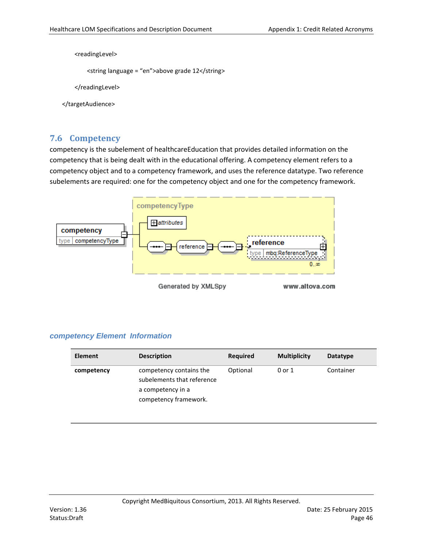<readingLevel>

```
<string language = "en">above grade 12</string>
```
</readingLevel>

```
</targetAudience>
```
## **7.6 Competency**

competency is the subelement of healthcareEducation that provides detailed information on the competency that is being dealt with in the educational offering. A competency element refers to a competency object and to a competency framework, and uses the reference datatype. Two reference subelements are required: one for the competency object and one for the competency framework.



### *competency Element Information*

| <b>Element</b> | <b>Description</b>                                                                                  | <b>Required</b> | <b>Multiplicity</b> | <b>Datatype</b> |
|----------------|-----------------------------------------------------------------------------------------------------|-----------------|---------------------|-----------------|
| competency     | competency contains the<br>subelements that reference<br>a competency in a<br>competency framework. | Optional        | 0 or 1              | Container       |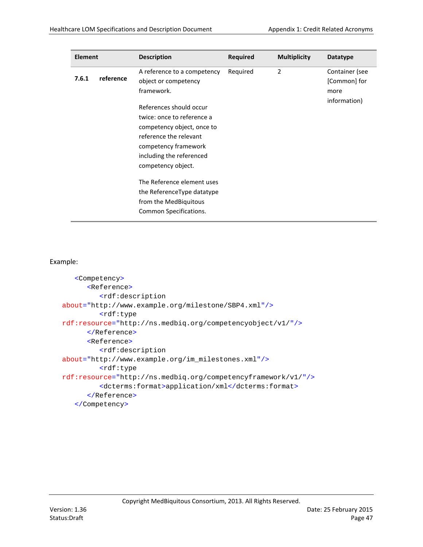| <b>Element</b> |           | <b>Description</b>                                                                                                                                                                                                                                           | <b>Required</b> | <b>Multiplicity</b> | <b>Datatype</b>                                        |
|----------------|-----------|--------------------------------------------------------------------------------------------------------------------------------------------------------------------------------------------------------------------------------------------------------------|-----------------|---------------------|--------------------------------------------------------|
| 7.6.1          | reference | A reference to a competency<br>object or competency<br>framework.<br>References should occur<br>twice: once to reference a<br>competency object, once to<br>reference the relevant<br>competency framework<br>including the referenced<br>competency object. | Required        | $\overline{2}$      | Container (see<br>[Common] for<br>more<br>information) |
|                |           | The Reference element uses<br>the ReferenceType datatype<br>from the MedBiquitous<br>Common Specifications.                                                                                                                                                  |                 |                     |                                                        |

```
<Competency>
      <Reference>
         <rdf:description
about="http://www.example.org/milestone/SBP4.xml"/>
         <rdf:type
rdf:resource="http://ns.medbiq.org/competencyobject/v1/"/>
      </Reference>
      <Reference>
         <rdf:description
about="http://www.example.org/im_milestones.xml"/>
         <rdf:type
rdf:resource="http://ns.medbiq.org/competencyframework/v1/"/>
         <dcterms:format>application/xml</dcterms:format>
      </Reference>
   </Competency>
```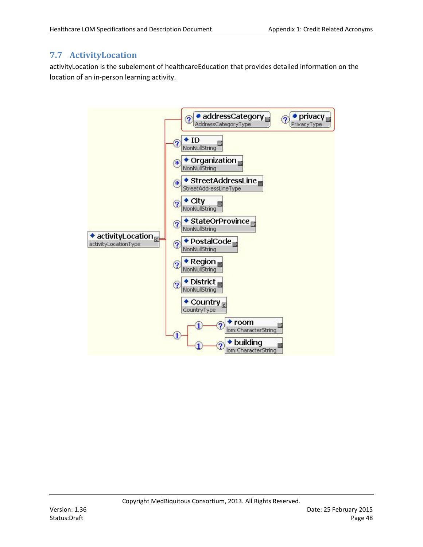# **7.7 ActivityLocation**

activityLocation is the subelement of healthcareEducation that provides detailed information on the location of an in-person learning activity.

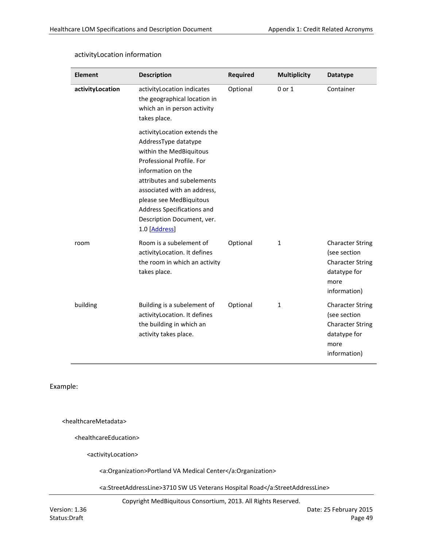| <b>Element</b>   | <b>Description</b>                                                                                                                                                                                                                                                                                       | <b>Required</b> | <b>Multiplicity</b> | <b>Datatype</b>                                                                                            |
|------------------|----------------------------------------------------------------------------------------------------------------------------------------------------------------------------------------------------------------------------------------------------------------------------------------------------------|-----------------|---------------------|------------------------------------------------------------------------------------------------------------|
| activityLocation | activityLocation indicates<br>the geographical location in<br>which an in person activity<br>takes place.                                                                                                                                                                                                | Optional        | $0$ or $1$          | Container                                                                                                  |
|                  | activity Location extends the<br>AddressType datatype<br>within the MedBiquitous<br>Professional Profile. For<br>information on the<br>attributes and subelements<br>associated with an address,<br>please see MedBiquitous<br>Address Specifications and<br>Description Document, ver.<br>1.0 [Address] |                 |                     |                                                                                                            |
| room             | Room is a subelement of<br>activityLocation. It defines<br>the room in which an activity<br>takes place.                                                                                                                                                                                                 | Optional        | $\mathbf{1}$        | <b>Character String</b><br>(see section<br><b>Character String</b><br>datatype for<br>more<br>information) |
| building         | Building is a subelement of<br>activityLocation. It defines<br>the building in which an<br>activity takes place.                                                                                                                                                                                         | Optional        | $\mathbf{1}$        | <b>Character String</b><br>(see section<br><b>Character String</b><br>datatype for<br>more<br>information) |

### activityLocation information

Example:

<healthcareMetadata>

<healthcareEducation>

<activityLocation>

<a:Organization>Portland VA Medical Center</a:Organization>

<a:StreetAddressLine>3710 SW US Veterans Hospital Road</a:StreetAddressLine>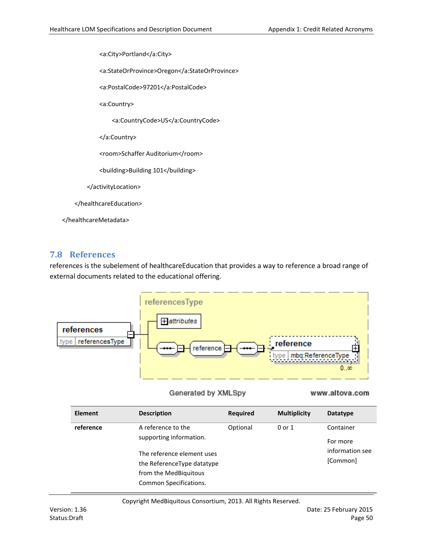<a:City>Portland</a:City>

<a:StateOrProvince>Oregon</a:StateOrProvince>

<a:PostalCode>97201</a:PostalCode>

<a:Country>

<a:CountryCode>US</a:CountryCode>

</a:Country>

<room>Schaffer Auditorium</room>

<building>Building 101</building>

</activityLocation>

</healthcareEducation>

</healthcareMetadata>

### **7.8 References**

references is the subelement of healthcareEducation that provides a way to reference a broad range of external documents related to the educational offering.



#### Generated by XMLSpy

#### www.altova.com

| <b>Element</b> | <b>Description</b>                                                                                                                                           | Required | <b>Multiplicity</b> | Datatype                                             |
|----------------|--------------------------------------------------------------------------------------------------------------------------------------------------------------|----------|---------------------|------------------------------------------------------|
| reference      | A reference to the<br>supporting information.<br>The reference element uses<br>the ReferenceType datatype<br>from the MedBiguitous<br>Common Specifications. | Optional | $0$ or $1$          | Container<br>For more<br>information see<br>[Common] |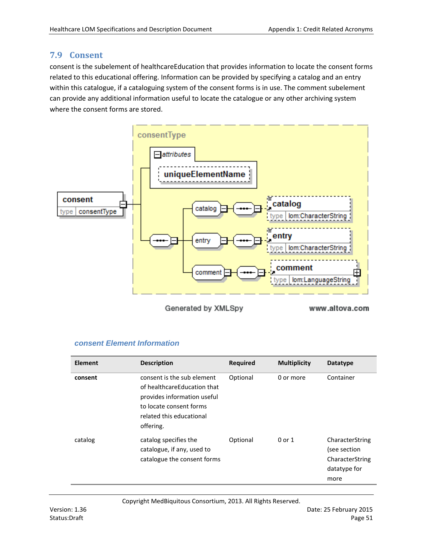## **7.9 Consent**

consent is the subelement of healthcareEducation that provides information to locate the consent forms related to this educational offering. Information can be provided by specifying a catalog and an entry within this catalogue, if a cataloguing system of the consent forms is in use. The comment subelement can provide any additional information useful to locate the catalogue or any other archiving system where the consent forms are stored.



Generated by XMLSpy

www.altova.com

## *consent Element Information*

| <b>Element</b> | <b>Description</b>                                                                                                                                           | <b>Required</b> | <b>Multiplicity</b> | <b>Datatype</b>                                                            |
|----------------|--------------------------------------------------------------------------------------------------------------------------------------------------------------|-----------------|---------------------|----------------------------------------------------------------------------|
| consent        | consent is the sub element<br>of healthcareEducation that<br>provides information useful<br>to locate consent forms<br>related this educational<br>offering. | Optional        | 0 or more           | Container                                                                  |
| catalog        | catalog specifies the<br>catalogue, if any, used to<br>catalogue the consent forms                                                                           | Optional        | $0$ or $1$          | CharacterString<br>(see section<br>CharacterString<br>datatype for<br>more |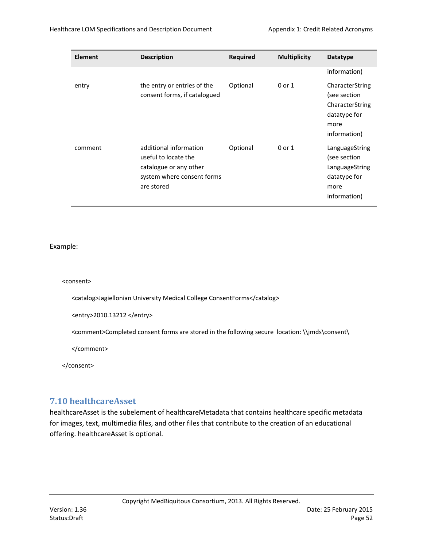| <b>Element</b> | <b>Description</b>                                                                                                   | <b>Required</b> | <b>Multiplicity</b> | <b>Datatype</b>                                                                            |
|----------------|----------------------------------------------------------------------------------------------------------------------|-----------------|---------------------|--------------------------------------------------------------------------------------------|
|                |                                                                                                                      |                 |                     | information)                                                                               |
| entry          | the entry or entries of the<br>consent forms, if catalogued                                                          | Optional        | 0 or 1              | CharacterString<br>(see section<br>CharacterString<br>datatype for<br>more<br>information) |
| comment        | additional information<br>useful to locate the<br>catalogue or any other<br>system where consent forms<br>are stored | Optional        | 0 or 1              | LanguageString<br>(see section<br>LanguageString<br>datatype for<br>more<br>information)   |

#### <consent>

<catalog>Jagiellonian University Medical College ConsentForms</catalog>

<entry>2010.13212 </entry>

<comment>Completed consent forms are stored in the following secure location: \\jmds\consent\

</comment>

</consent>

## **7.10 healthcareAsset**

healthcareAsset is the subelement of healthcareMetadata that contains healthcare specific metadata for images, text, multimedia files, and other files that contribute to the creation of an educational offering. healthcareAsset is optional.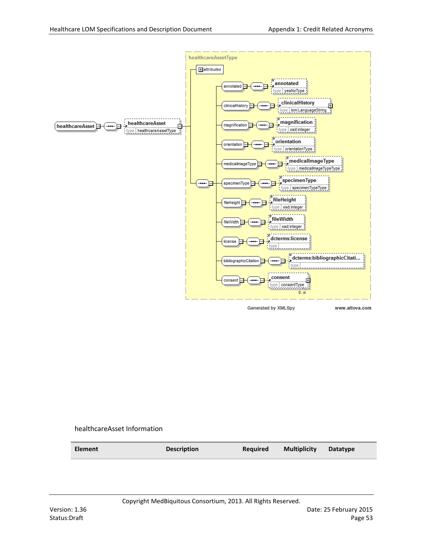

healthcareAsset Information

| <b>Element</b> | <b>Description</b> | <b>Required</b> | <b>Multiplicity</b> | <b>Datatype</b> |
|----------------|--------------------|-----------------|---------------------|-----------------|
|                |                    |                 |                     |                 |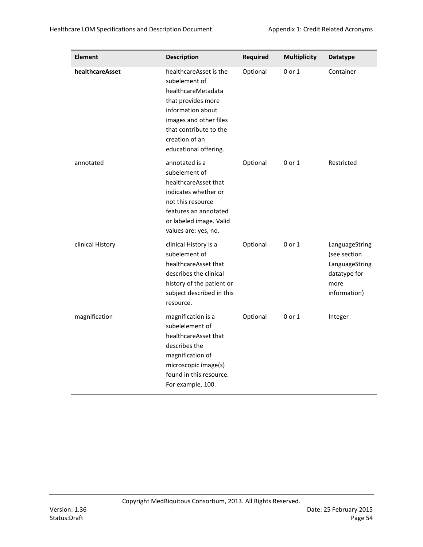Î

| <b>Element</b>   | <b>Description</b>                                                                                                                                                                                      | <b>Required</b> | <b>Multiplicity</b> | <b>Datatype</b>                                                                          |
|------------------|---------------------------------------------------------------------------------------------------------------------------------------------------------------------------------------------------------|-----------------|---------------------|------------------------------------------------------------------------------------------|
| healthcareAsset  | healthcareAsset is the<br>subelement of<br>healthcareMetadata<br>that provides more<br>information about<br>images and other files<br>that contribute to the<br>creation of an<br>educational offering. | Optional        | $0$ or $1$          | Container                                                                                |
| annotated        | annotated is a<br>subelement of<br>healthcareAsset that<br>indicates whether or<br>not this resource<br>features an annotated<br>or labeled image. Valid<br>values are: yes, no.                        | Optional        | 0 or 1              | Restricted                                                                               |
| clinical History | clinical History is a<br>subelement of<br>healthcareAsset that<br>describes the clinical<br>history of the patient or<br>subject described in this<br>resource.                                         | Optional        | 0 or 1              | LanguageString<br>(see section<br>LanguageString<br>datatype for<br>more<br>information) |
| magnification    | magnification is a<br>subelelement of<br>healthcareAsset that<br>describes the<br>magnification of<br>microscopic image(s)<br>found in this resource.<br>For example, 100.                              | Optional        | 0 or 1              | Integer                                                                                  |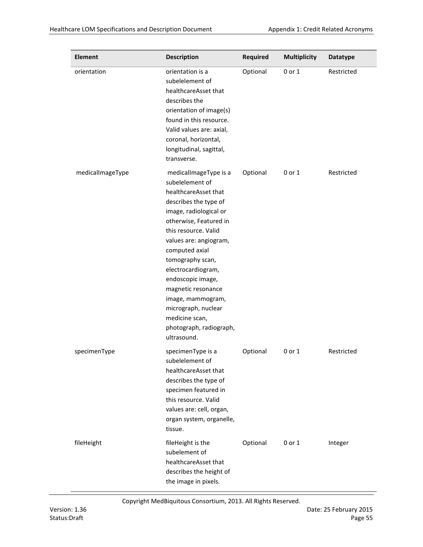| <b>Element</b>   | <b>Description</b>                                                                                                                                                                                                                                                                                                                                                                                             | <b>Required</b> | <b>Multiplicity</b> | <b>Datatype</b> |
|------------------|----------------------------------------------------------------------------------------------------------------------------------------------------------------------------------------------------------------------------------------------------------------------------------------------------------------------------------------------------------------------------------------------------------------|-----------------|---------------------|-----------------|
| orientation      | orientation is a<br>subelelement of<br>healthcareAsset that<br>describes the<br>orientation of image(s)<br>found in this resource.<br>Valid values are: axial,<br>coronal, horizontal,<br>longitudinal, sagittal,<br>transverse.                                                                                                                                                                               | Optional        | 0 or 1              | Restricted      |
| medicalImageType | medicalImageType is a<br>subelelement of<br>healthcareAsset that<br>describes the type of<br>image, radiological or<br>otherwise, Featured in<br>this resource. Valid<br>values are: angiogram,<br>computed axial<br>tomography scan,<br>electrocardiogram,<br>endoscopic image,<br>magnetic resonance<br>image, mammogram,<br>micrograph, nuclear<br>medicine scan,<br>photograph, radiograph,<br>ultrasound. | Optional        | 0 or 1              | Restricted      |
| specimenType     | specimenType is a<br>subelelement of<br>healthcareAsset that<br>describes the type of<br>specimen featured in<br>this resource. Valid<br>values are: cell, organ,<br>organ system, organelle,<br>tissue.                                                                                                                                                                                                       | Optional        | 0 or 1              | Restricted      |
| fileHeight       | fileHeight is the<br>subelement of<br>healthcareAsset that<br>describes the height of<br>the image in pixels.                                                                                                                                                                                                                                                                                                  | Optional        | 0 or 1              | Integer         |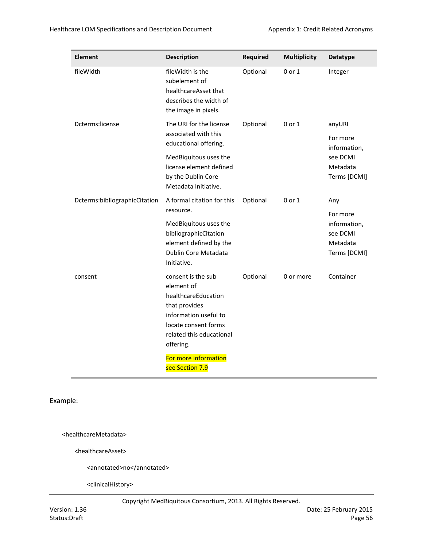| <b>Element</b>                | <b>Description</b>                                                                                          | <b>Required</b> | <b>Multiplicity</b> | <b>Datatype</b>          |
|-------------------------------|-------------------------------------------------------------------------------------------------------------|-----------------|---------------------|--------------------------|
| fileWidth                     | fileWidth is the<br>subelement of<br>healthcareAsset that<br>describes the width of<br>the image in pixels. | Optional        | 0 or 1              | Integer                  |
| Dcterms:license               | The URI for the license<br>associated with this                                                             | Optional        | 0 or 1              | anyURI                   |
|                               | educational offering.                                                                                       |                 |                     | For more<br>information, |
|                               | MedBiquitous uses the<br>license element defined                                                            |                 |                     | see DCMI<br>Metadata     |
|                               | by the Dublin Core<br>Metadata Initiative.                                                                  |                 |                     | Terms [DCMI]             |
| Dcterms:bibliographicCitation | A formal citation for this<br>resource.                                                                     | Optional        | $0$ or $1$          | Any                      |
|                               | MedBiquitous uses the                                                                                       |                 |                     | For more<br>information, |
|                               | bibliographicCitation<br>element defined by the                                                             |                 |                     | see DCMI<br>Metadata     |
|                               | Dublin Core Metadata<br>Initiative.                                                                         |                 |                     | Terms [DCMI]             |
| consent                       | consent is the sub<br>element of                                                                            | Optional        | 0 or more           | Container                |
|                               | healthcareEducation<br>that provides                                                                        |                 |                     |                          |
|                               | information useful to                                                                                       |                 |                     |                          |
|                               | locate consent forms<br>related this educational                                                            |                 |                     |                          |
|                               | offering.                                                                                                   |                 |                     |                          |
|                               | For more information<br>see Section 7.9                                                                     |                 |                     |                          |

<healthcareMetadata>

<healthcareAsset>

<annotated>no</annotated>

<clinicalHistory>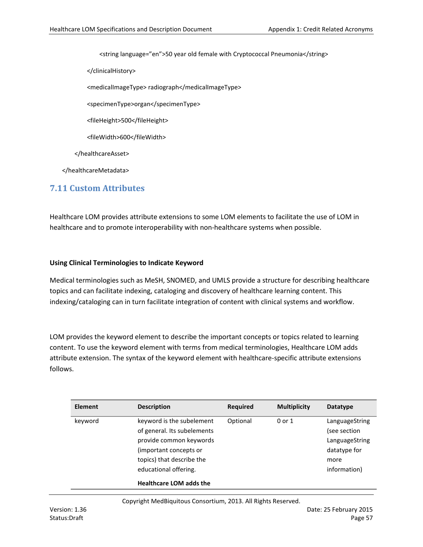<string language="en">50 year old female with Cryptococcal Pneumonia</string>

</clinicalHistory>

<medicalImageType> radiograph</medicalImageType>

<specimenType>organ</specimenType>

<fileHeight>500</fileHeight>

<fileWidth>600</fileWidth>

</healthcareAsset>

</healthcareMetadata>

## **7.11 Custom Attributes**

Healthcare LOM provides attribute extensions to some LOM elements to facilitate the use of LOM in healthcare and to promote interoperability with non-healthcare systems when possible.

### **Using Clinical Terminologies to Indicate Keyword**

Medical terminologies such as MeSH, SNOMED, and UMLS provide a structure for describing healthcare topics and can facilitate indexing, cataloging and discovery of healthcare learning content. This indexing/cataloging can in turn facilitate integration of content with clinical systems and workflow.

LOM provides the keyword element to describe the important concepts or topics related to learning content. To use the keyword element with terms from medical terminologies, Healthcare LOM adds attribute extension. The syntax of the keyword element with healthcare-specific attribute extensions follows.

| <b>Element</b> | <b>Description</b>                                                                                                                                                                                    | <b>Required</b> | <b>Multiplicity</b> | <b>Datatype</b>                                                                          |
|----------------|-------------------------------------------------------------------------------------------------------------------------------------------------------------------------------------------------------|-----------------|---------------------|------------------------------------------------------------------------------------------|
| keyword        | keyword is the subelement<br>of general. Its subelements<br>provide common keywords<br>(important concepts or<br>topics) that describe the<br>educational offering.<br><b>Healthcare LOM adds the</b> | Optional        | $0$ or $1$          | LanguageString<br>(see section<br>LanguageString<br>datatype for<br>more<br>information) |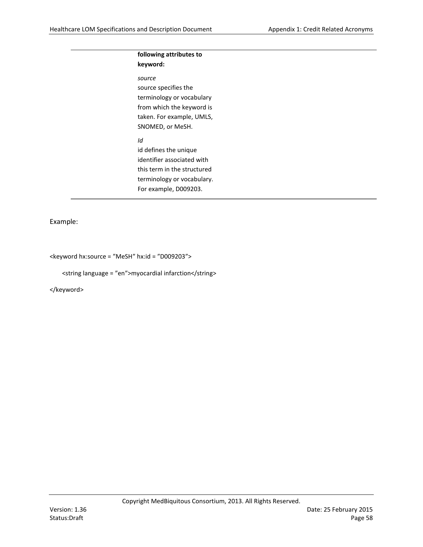### **following attributes to keyword:**

*source* source specifies the terminology or vocabulary from which the keyword is taken. For example, UMLS, SNOMED, or MeSH. *Id* id defines the unique

identifier associated with this term in the structured terminology or vocabulary. For example, D009203.

Example:

<keyword hx:source = ″MeSH″ hx:id = ″D009203″>

<string language = ″en″>myocardial infarction</string>

</keyword>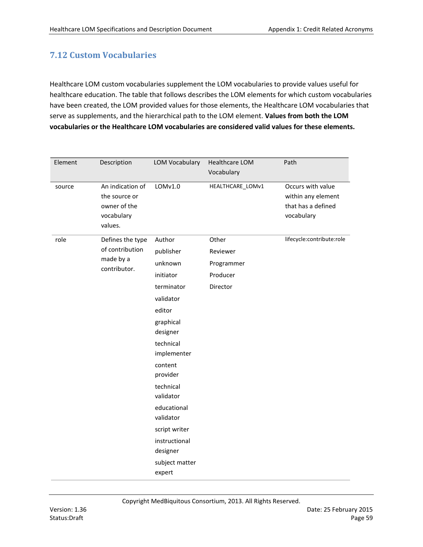# **7.12 Custom Vocabularies**

Healthcare LOM custom vocabularies supplement the LOM vocabularies to provide values useful for healthcare education. The table that follows describes the LOM elements for which custom vocabularies have been created, the LOM provided values for those elements, the Healthcare LOM vocabularies that serve as supplements, and the hierarchical path to the LOM element. **Values from both the LOM vocabularies or the Healthcare LOM vocabularies are considered valid values for these elements.**

| Element | Description                                                                | <b>LOM Vocabulary</b>     | <b>Healthcare LOM</b><br>Vocabulary | Path                                                                        |
|---------|----------------------------------------------------------------------------|---------------------------|-------------------------------------|-----------------------------------------------------------------------------|
| source  | An indication of<br>the source or<br>owner of the<br>vocabulary<br>values. | LOMv1.0                   | HEALTHCARE_LOMv1                    | Occurs with value<br>within any element<br>that has a defined<br>vocabulary |
| role    | Defines the type                                                           | Author                    | Other                               | lifecycle:contribute:role                                                   |
|         | of contribution                                                            | publisher                 | Reviewer                            |                                                                             |
|         | made by a<br>contributor.                                                  | unknown                   | Programmer                          |                                                                             |
|         |                                                                            | initiator                 | Producer                            |                                                                             |
|         |                                                                            | terminator                | Director                            |                                                                             |
|         |                                                                            | validator                 |                                     |                                                                             |
|         |                                                                            | editor                    |                                     |                                                                             |
|         |                                                                            | graphical<br>designer     |                                     |                                                                             |
|         |                                                                            | technical<br>implementer  |                                     |                                                                             |
|         |                                                                            | content<br>provider       |                                     |                                                                             |
|         |                                                                            | technical<br>validator    |                                     |                                                                             |
|         |                                                                            | educational<br>validator  |                                     |                                                                             |
|         |                                                                            | script writer             |                                     |                                                                             |
|         |                                                                            | instructional<br>designer |                                     |                                                                             |
|         |                                                                            | subject matter<br>expert  |                                     |                                                                             |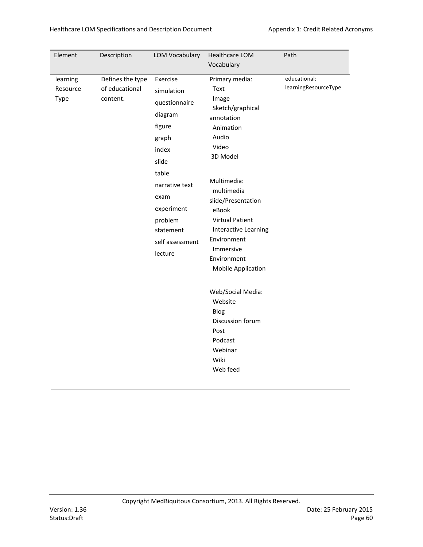| Element                      | Description                                    | <b>LOM Vocabulary</b>                                                                                                                                                                          | Healthcare LOM                                                                                                                                                                                                                                                                                     | Path                                 |
|------------------------------|------------------------------------------------|------------------------------------------------------------------------------------------------------------------------------------------------------------------------------------------------|----------------------------------------------------------------------------------------------------------------------------------------------------------------------------------------------------------------------------------------------------------------------------------------------------|--------------------------------------|
|                              |                                                |                                                                                                                                                                                                | Vocabulary                                                                                                                                                                                                                                                                                         |                                      |
| learning<br>Resource<br>Type | Defines the type<br>of educational<br>content. | Exercise<br>simulation<br>questionnaire<br>diagram<br>figure<br>graph<br>index<br>slide<br>table<br>narrative text<br>exam<br>experiment<br>problem<br>statement<br>self assessment<br>lecture | Primary media:<br>Text<br>Image<br>Sketch/graphical<br>annotation<br>Animation<br>Audio<br>Video<br>3D Model<br>Multimedia:<br>multimedia<br>slide/Presentation<br>eBook<br><b>Virtual Patient</b><br>Interactive Learning<br>Environment<br>Immersive<br>Environment<br><b>Mobile Application</b> | educational:<br>learningResourceType |
|                              |                                                |                                                                                                                                                                                                | Web/Social Media:<br>Website<br>Blog<br>Discussion forum<br>Post<br>Podcast<br>Webinar<br>Wiki<br>Web feed                                                                                                                                                                                         |                                      |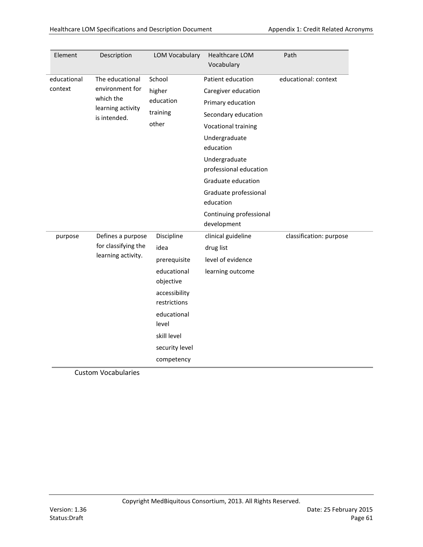| Element     | Description                    | <b>LOM Vocabulary</b>         | Healthcare LOM<br>Vocabulary            | Path                    |
|-------------|--------------------------------|-------------------------------|-----------------------------------------|-------------------------|
| educational | The educational                | School                        | Patient education                       | educational: context    |
| context     | environment for                | higher                        | Caregiver education                     |                         |
|             | which the<br>learning activity | education                     | Primary education                       |                         |
|             | is intended.                   | training                      | Secondary education                     |                         |
|             |                                | other                         | Vocational training                     |                         |
|             |                                |                               | Undergraduate                           |                         |
|             |                                |                               | education                               |                         |
|             |                                |                               | Undergraduate<br>professional education |                         |
|             |                                |                               | Graduate education                      |                         |
|             |                                |                               | Graduate professional<br>education      |                         |
|             |                                |                               | Continuing professional<br>development  |                         |
| purpose     | Defines a purpose              | Discipline                    | clinical guideline                      | classification: purpose |
|             | for classifying the            | idea                          | drug list                               |                         |
|             | learning activity.             | prerequisite                  | level of evidence                       |                         |
|             |                                | educational<br>objective      | learning outcome                        |                         |
|             |                                | accessibility<br>restrictions |                                         |                         |
|             |                                | educational<br>level          |                                         |                         |
|             |                                | skill level                   |                                         |                         |
|             |                                | security level                |                                         |                         |
|             |                                | competency                    |                                         |                         |

Custom Vocabularies

L.

L,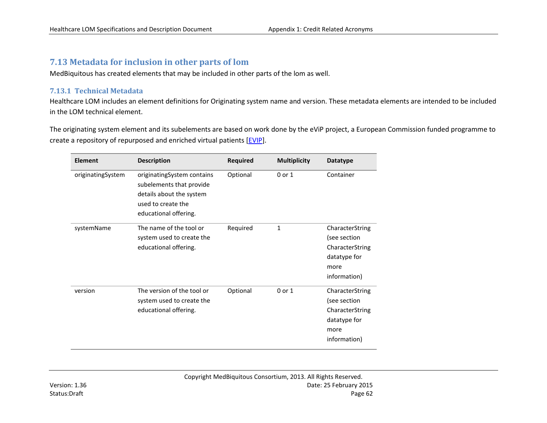## **7.13 Metadata for inclusion in other parts of lom**

MedBiquitous has created elements that may be included in other parts of the lom as well.

### **7.13.1 Technical Metadata**

Healthcare LOM includes an element definitions for Originating system name and version. These metadata elements are intended to be included in the LOM technical element.

The originating system element and its subelements are based on work done by the eViP project, a European Commission funded programme to create a repository of repurposed and enriched virtual patients [\[EVIP\]](#page-65-1).

| <b>Element</b>    | <b>Description</b>                                                                                                                | <b>Required</b> | <b>Multiplicity</b> | <b>Datatype</b>                                                                            |
|-------------------|-----------------------------------------------------------------------------------------------------------------------------------|-----------------|---------------------|--------------------------------------------------------------------------------------------|
| originatingSystem | originatingSystem contains<br>subelements that provide<br>details about the system<br>used to create the<br>educational offering. | Optional        | $0$ or $1$          | Container                                                                                  |
| systemName        | The name of the tool or<br>system used to create the<br>educational offering.                                                     | Required        | $\mathbf{1}$        | CharacterString<br>(see section<br>CharacterString<br>datatype for<br>more<br>information) |
| version           | The version of the tool or<br>system used to create the<br>educational offering.                                                  | Optional        | $0$ or $1$          | CharacterString<br>(see section<br>CharacterString<br>datatype for<br>more<br>information) |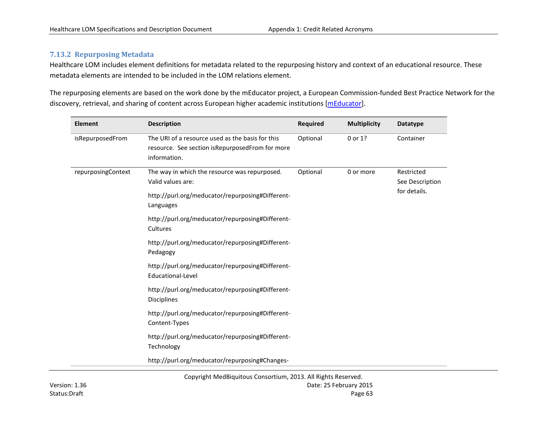### **7.13.2 Repurposing Metadata**

Healthcare LOM includes element definitions for metadata related to the repurposing history and context of an educational resource. These metadata elements are intended to be included in the LOM relations element.

The repurposing elements are based on the work done by the mEducator project, a European Commission-funded Best Practice Network for the discovery, retrieval, and sharing of content across European higher academic institutions [\[mEducator\]](#page-65-2).

| <b>Element</b>     | <b>Description</b>                                                                                                  | <b>Required</b> | <b>Multiplicity</b> | <b>Datatype</b>               |
|--------------------|---------------------------------------------------------------------------------------------------------------------|-----------------|---------------------|-------------------------------|
| isRepurposedFrom   | The URI of a resource used as the basis for this<br>resource. See section isRepurposedFrom for more<br>information. | Optional        | 0 or 1?             | Container                     |
| repurposingContext | The way in which the resource was repurposed.<br>Valid values are:                                                  | Optional        | 0 or more           | Restricted<br>See Description |
|                    | http://purl.org/meducator/repurposing#Different-<br>Languages                                                       |                 |                     | for details.                  |
|                    | http://purl.org/meducator/repurposing#Different-<br>Cultures                                                        |                 |                     |                               |
|                    | http://purl.org/meducator/repurposing#Different-<br>Pedagogy                                                        |                 |                     |                               |
|                    | http://purl.org/meducator/repurposing#Different-<br>Educational-Level                                               |                 |                     |                               |
|                    | http://purl.org/meducator/repurposing#Different-<br>Disciplines                                                     |                 |                     |                               |
|                    | http://purl.org/meducator/repurposing#Different-<br>Content-Types                                                   |                 |                     |                               |
|                    | http://purl.org/meducator/repurposing#Different-<br>Technology                                                      |                 |                     |                               |
|                    | http://purl.org/meducator/repurposing#Changes-                                                                      |                 |                     |                               |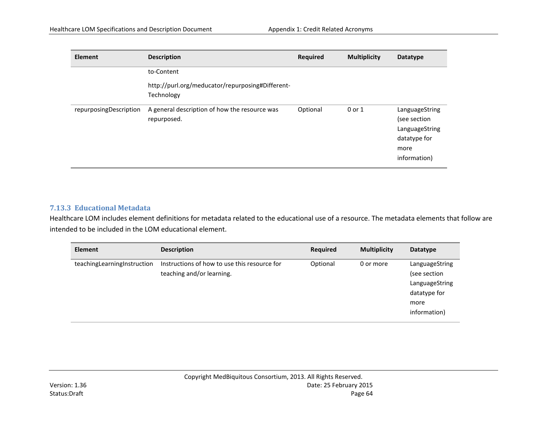| <b>Element</b>         | <b>Description</b>                                             | <b>Required</b> | <b>Multiplicity</b> | <b>Datatype</b>                                                                          |
|------------------------|----------------------------------------------------------------|-----------------|---------------------|------------------------------------------------------------------------------------------|
|                        | to-Content                                                     |                 |                     |                                                                                          |
|                        | http://purl.org/meducator/repurposing#Different-<br>Technology |                 |                     |                                                                                          |
| repurposingDescription | A general description of how the resource was<br>repurposed.   | Optional        | 0 or 1              | LanguageString<br>(see section<br>LanguageString<br>datatype for<br>more<br>information) |

### **7.13.3 Educational Metadata**

Healthcare LOM includes element definitions for metadata related to the educational use of a resource. The metadata elements that follow are intended to be included in the LOM educational element.

| <b>Element</b>              | <b>Description</b>                                                        | <b>Required</b> | <b>Multiplicity</b> | Datatype                                                                                 |
|-----------------------------|---------------------------------------------------------------------------|-----------------|---------------------|------------------------------------------------------------------------------------------|
| teachingLearningInstruction | Instructions of how to use this resource for<br>teaching and/or learning. | Optional        | 0 or more           | LanguageString<br>(see section<br>LanguageString<br>datatype for<br>more<br>information) |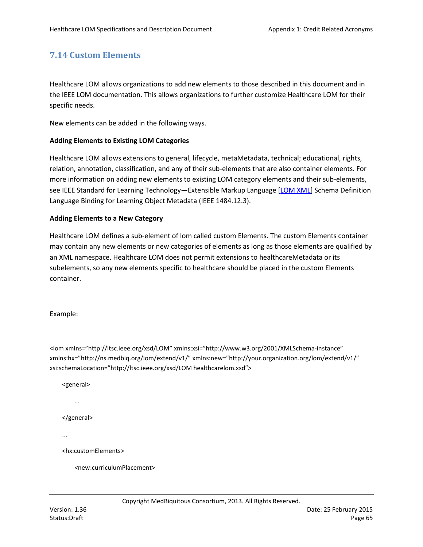# **7.14 Custom Elements**

Healthcare LOM allows organizations to add new elements to those described in this document and in the IEEE LOM documentation. This allows organizations to further customize Healthcare LOM for their specific needs.

New elements can be added in the following ways.

### **Adding Elements to Existing LOM Categories**

Healthcare LOM allows extensions to general, lifecycle, metaMetadata, technical; educational, rights, relation, annotation, classification, and any of their sub-elements that are also container elements. For more information on adding new elements to existing LOM category elements and their sub-elements, see IEEE Standard for Learning Technology—Extensible Markup Language [\[LOM XML\]](#page-65-3) Schema Definition Language Binding for Learning Object Metadata (IEEE 1484.12.3).

### **Adding Elements to a New Category**

Healthcare LOM defines a sub-element of lom called custom Elements. The custom Elements container may contain any new elements or new categories of elements as long as those elements are qualified by an XML namespace. Healthcare LOM does not permit extensions to healthcareMetadata or its subelements, so any new elements specific to healthcare should be placed in the custom Elements container.

Example:

<lom xmlns="http://ltsc.ieee.org/xsd/LOM" xmlns:xsi="http://www.w3.org/2001/XMLSchema-instance" xmlns:hx="http://ns.medbiq.org/lom/extend/v1/" xmlns:new="http://your.organization.org/lom/extend/v1/" xsi:schemaLocation="http://ltsc.ieee.org/xsd/LOM healthcarelom.xsd">

<general>

…

</general>

...

<hx:customElements>

<new:curriculumPlacement>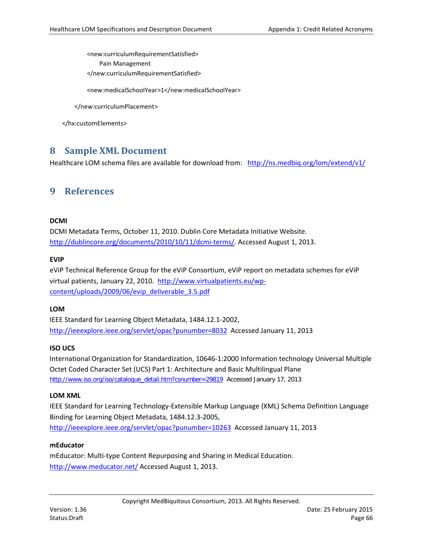<new:curriculumRequirementSatisfied>

Pain Management

</new:curriculumRequirementSatisfied>

<new:medicalSchoolYear>1</new:medicalSchoolYear>

</new:curriculumPlacement>

</hx:customElements>

# <span id="page-65-1"></span>**8 Sample XML Document**

Healthcare LOM schema files are available for download from: <http://ns.medbiq.org/lom/extend/v1/>

# **9 References**

### <span id="page-65-0"></span>**DCMI**

DCMI Metadata Terms, October 11, 2010. Dublin Core Metadata Initiative Website. [http://dublincore.org/documents/2010/10/11/dcmi-terms/.](http://dublincore.org/documents/2010/10/11/dcmi-terms/) Accessed August 1, 2013.

### **EVIP**

eViP Technical Reference Group for the eViP Consortium, eViP report on metadata schemes for eViP virtual patients, January 22, 2010.[http://www.virtualpatients.eu/wp](http://www.virtualpatients.eu/wp-content/uploads/2009/06/evip_deliverable_3.5.pdf)[content/uploads/2009/06/evip\\_deliverable\\_3.5.pdf](http://www.virtualpatients.eu/wp-content/uploads/2009/06/evip_deliverable_3.5.pdf)

### **LOM**

<span id="page-65-2"></span>IEEE Standard for Learning Object Metadata, 1484.12.1-2002, <http://ieeexplore.ieee.org/servlet/opac?punumber=8032> Accessed January 11, 2013

### **ISO UCS**

International Organization for Standardization, 10646-1:2000 Information technology Universal Multiple Octet Coded Character Set (UCS) Part 1: Architecture and Basic Multilingual Plane [http://www.iso.org/iso/catalogue\\_detail.htm?csnumber=29819](http://www.iso.org/iso/catalogue_detail.htm?csnumber=29819) Accessed January 17, 2013

### <span id="page-65-3"></span>**LOM XML**

IEEE Standard for Learning Technology-Extensible Markup Language (XML) Schema Definition Language Binding for Learning Object Metadata, 1484.12.3-2005, <http://ieeexplore.ieee.org/servlet/opac?punumber=10263> Accessed January 11, 2013

### **mEducator**

mEducator: Multi-type Content Repurposing and Sharing in Medical Education. <http://www.meducator.net/> Accessed August 1, 2013.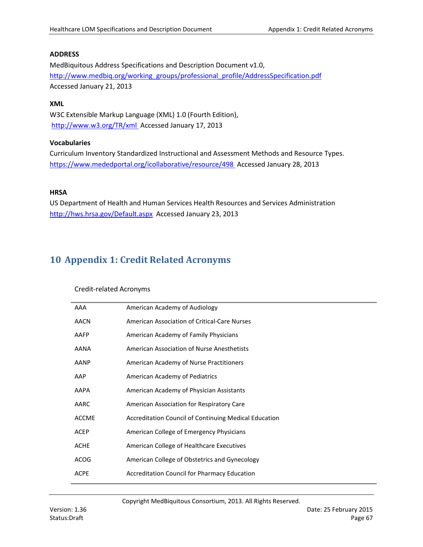### <span id="page-66-1"></span>**ADDRESS**

MedBiquitous Address Specifications and Description Document v1.0, [http://www.medbiq.org/working\\_groups/professional\\_profile/AddressSpecification.pdf](http://www.medbiq.org/working_groups/professional_profile/AddressSpecification.pdf) Accessed January 21, 2013

### **XML**

<span id="page-66-2"></span>W3C Extensible Markup Language (XML) 1.0 (Fourth Edition), <http://www.w3.org/TR/xml> Accessed January 17, 2013

### **Vocabularies**

Curriculum Inventory Standardized Instructional and Assessment Methods and Resource Types. <https://www.mededportal.org/icollaborative/resource/498> Accessed January 28, 2013

### <span id="page-66-3"></span>**HRSA**

US Department of Health and Human Services Health Resources and Services Administration <http://hws.hrsa.gov/Default.aspx>Accessed January 23, 2013

# <span id="page-66-0"></span>**10 Appendix 1: Credit Related Acronyms**

### Credit-related Acronyms

| AAA          | American Academy of Audiology                         |
|--------------|-------------------------------------------------------|
| <b>AACN</b>  | American Association of Critical-Care Nurses          |
| AAFP         | American Academy of Family Physicians                 |
| AANA         | American Association of Nurse Anesthetists            |
| AANP         | American Academy of Nurse Practitioners               |
| AAP          | American Academy of Pediatrics                        |
| AAPA         | American Academy of Physician Assistants              |
| AARC         | American Association for Respiratory Care             |
| <b>ACCME</b> | Accreditation Council of Continuing Medical Education |
| <b>ACEP</b>  | American College of Emergency Physicians              |
| <b>ACHE</b>  | American College of Healthcare Executives             |
| <b>ACOG</b>  | American College of Obstetrics and Gynecology         |
| <b>ACPE</b>  | Accreditation Council for Pharmacy Education          |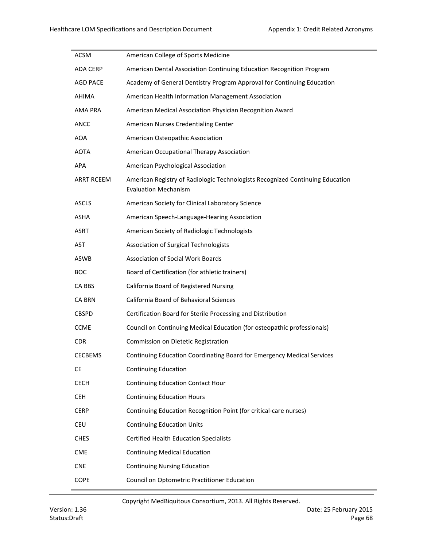| <b>ACSM</b>       | American College of Sports Medicine                                                                          |
|-------------------|--------------------------------------------------------------------------------------------------------------|
| <b>ADA CERP</b>   | American Dental Association Continuing Education Recognition Program                                         |
| <b>AGD PACE</b>   | Academy of General Dentistry Program Approval for Continuing Education                                       |
| <b>AHIMA</b>      | American Health Information Management Association                                                           |
| AMA PRA           | American Medical Association Physician Recognition Award                                                     |
| ANCC              | American Nurses Credentialing Center                                                                         |
| <b>AOA</b>        | American Osteopathic Association                                                                             |
| AOTA              | American Occupational Therapy Association                                                                    |
| <b>APA</b>        | American Psychological Association                                                                           |
| <b>ARRT RCEEM</b> | American Registry of Radiologic Technologists Recognized Continuing Education<br><b>Evaluation Mechanism</b> |
| <b>ASCLS</b>      | American Society for Clinical Laboratory Science                                                             |
| <b>ASHA</b>       | American Speech-Language-Hearing Association                                                                 |
| <b>ASRT</b>       | American Society of Radiologic Technologists                                                                 |
| AST               | <b>Association of Surgical Technologists</b>                                                                 |
| ASWB              | <b>Association of Social Work Boards</b>                                                                     |
| <b>BOC</b>        | Board of Certification (for athletic trainers)                                                               |
| CA BBS            | California Board of Registered Nursing                                                                       |
| <b>CA BRN</b>     | California Board of Behavioral Sciences                                                                      |
| <b>CBSPD</b>      | Certification Board for Sterile Processing and Distribution                                                  |
| <b>CCME</b>       | Council on Continuing Medical Education (for osteopathic professionals)                                      |
| <b>CDR</b>        | Commission on Dietetic Registration                                                                          |
| <b>CECBEMS</b>    | Continuing Education Coordinating Board for Emergency Medical Services                                       |
| <b>CE</b>         | <b>Continuing Education</b>                                                                                  |
| <b>CECH</b>       | <b>Continuing Education Contact Hour</b>                                                                     |
| <b>CEH</b>        | <b>Continuing Education Hours</b>                                                                            |
| <b>CERP</b>       | Continuing Education Recognition Point (for critical-care nurses)                                            |
| <b>CEU</b>        | <b>Continuing Education Units</b>                                                                            |
| <b>CHES</b>       | <b>Certified Health Education Specialists</b>                                                                |
| <b>CME</b>        | <b>Continuing Medical Education</b>                                                                          |
| <b>CNE</b>        | <b>Continuing Nursing Education</b>                                                                          |
| COPE              | Council on Optometric Practitioner Education                                                                 |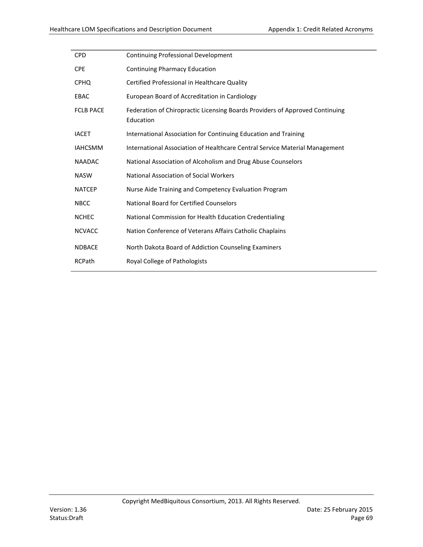| <b>CPD</b>       | Continuing Professional Development                                                       |
|------------------|-------------------------------------------------------------------------------------------|
| <b>CPE</b>       | <b>Continuing Pharmacy Education</b>                                                      |
| <b>CPHQ</b>      | Certified Professional in Healthcare Quality                                              |
| EBAC             | European Board of Accreditation in Cardiology                                             |
| <b>FCLB PACE</b> | Federation of Chiropractic Licensing Boards Providers of Approved Continuing<br>Education |
| <b>IACET</b>     | International Association for Continuing Education and Training                           |
| <b>IAHCSMM</b>   | International Association of Healthcare Central Service Material Management               |
| <b>NAADAC</b>    | National Association of Alcoholism and Drug Abuse Counselors                              |
| <b>NASW</b>      | <b>National Association of Social Workers</b>                                             |
| <b>NATCEP</b>    | Nurse Aide Training and Competency Evaluation Program                                     |
| <b>NBCC</b>      | <b>National Board for Certified Counselors</b>                                            |
| <b>NCHEC</b>     | National Commission for Health Education Credentialing                                    |
| <b>NCVACC</b>    | Nation Conference of Veterans Affairs Catholic Chaplains                                  |
| <b>NDBACE</b>    | North Dakota Board of Addiction Counseling Examiners                                      |
| <b>RCPath</b>    | Royal College of Pathologists                                                             |
|                  |                                                                                           |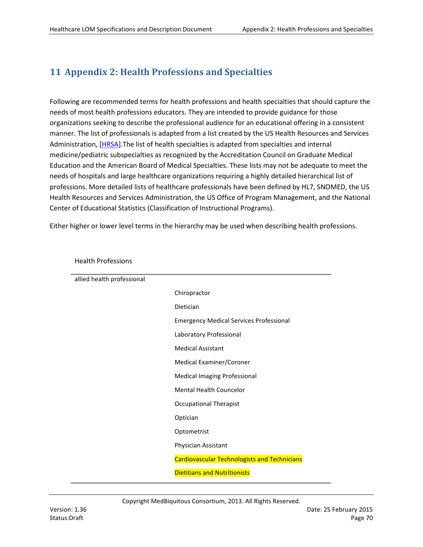# <span id="page-69-0"></span>**11 Appendix 2: Health Professions and Specialties**

Following are recommended terms for health professions and health specialties that should capture the needs of most health professions educators. They are intended to provide guidance for those organizations seeking to describe the professional audience for an educational offering in a consistent manner. The list of professionals is adapted from a list created by the US Health Resources and Services Administration, [\[HRSA\]](#page-66-3).The list of health specialties is adapted from specialties and internal medicine/pediatric subspecialties as recognized by the Accreditation Council on Graduate Medical Education and the American Board of Medical Specialties. These lists may not be adequate to meet the needs of hospitals and large healthcare organizations requiring a highly detailed hierarchical list of professions. More detailed lists of healthcare professionals have been defined by HL7, SNOMED, the US Health Resources and Services Administration, the US Office of Program Management, and the National Center of Educational Statistics (Classification of Instructional Programs).

Either higher or lower level terms in the hierarchy may be used when describing health professions.

| allied health professional |                                                     |
|----------------------------|-----------------------------------------------------|
|                            | Chiropractor                                        |
|                            | Dietician                                           |
|                            | <b>Emergency Medical Services Professional</b>      |
|                            | Laboratory Professional                             |
|                            | <b>Medical Assistant</b>                            |
|                            | Medical Examiner/Coroner                            |
|                            | <b>Medical Imaging Professional</b>                 |
|                            | <b>Mental Health Councelor</b>                      |
|                            | <b>Occupational Therapist</b>                       |
|                            | Optician                                            |
|                            | Optometrist                                         |
|                            | Physician Assistant                                 |
|                            | <b>Cardiovascular Technologists and Technicians</b> |
|                            | <b>Dietitians and Nutritionists</b>                 |

Health Professions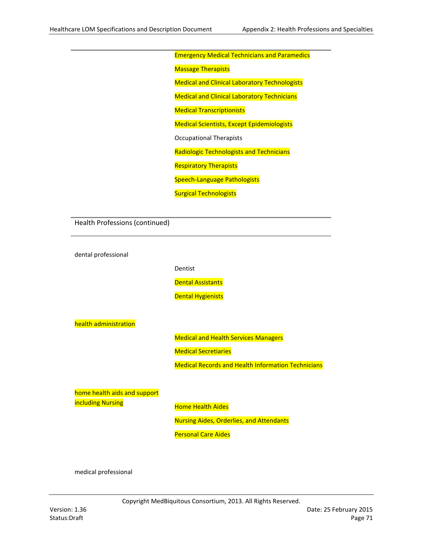### Emergency Medical Technicians and Paramedics

**Massage Therapists** 

Medical and Clinical Laboratory Technologists

Medical and Clinical Laboratory Technicians

Medical Transcriptionists

Medical Scientists, Except Epidemiologists

Occupational Therapists

Radiologic Technologists and Technicians

Respiratory Therapists

Speech-Language Pathologists

Surgical Technologists

Health Professions (continued)

dental professional

Dentist

Dental Assistants

**Dental Hygienists** 

health administration

Medical and Health Services Managers

Medical Secretiaries

Medical Records and Health Information Technicians

home health aids and support including Nursing

Home Health Aides

Nursing Aides, Orderlies, and Attendants

Personal Care Aides

medical professional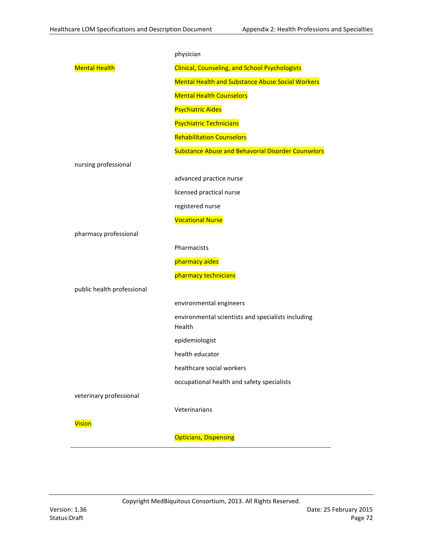|                            | physician                                                    |
|----------------------------|--------------------------------------------------------------|
| <b>Mental Health</b>       | <b>Clinical, Counseling, and School Psychologists</b>        |
|                            | <b>Mental Health and Substance Abuse Social Workers</b>      |
|                            | <b>Mental Health Counselors</b>                              |
|                            | <b>Psychiatric Aides</b>                                     |
|                            | <b>Psychiatric Technicians</b>                               |
|                            | <b>Rehabilitation Counselors</b>                             |
|                            | <b>Substance Abuse and Behavorial Disorder Counselors</b>    |
| nursing professional       |                                                              |
|                            | advanced practice nurse                                      |
|                            | licensed practical nurse                                     |
|                            | registered nurse                                             |
|                            | <b>Vocational Nurse</b>                                      |
| pharmacy professional      |                                                              |
|                            | Pharmacists                                                  |
|                            | pharmacy aides                                               |
|                            | pharmacy technicians                                         |
| public health professional |                                                              |
|                            | environmental engineers                                      |
|                            | environmental scientists and specialists including<br>Health |
|                            | epidemiologist                                               |
|                            | health educator                                              |
|                            | healthcare social workers                                    |
|                            | occupational health and safety specialists                   |
| veterinary professional    |                                                              |
|                            | Veterinarians                                                |
| <b>Vision</b>              |                                                              |
|                            | <b>Opticians, Dispensing</b>                                 |
|                            |                                                              |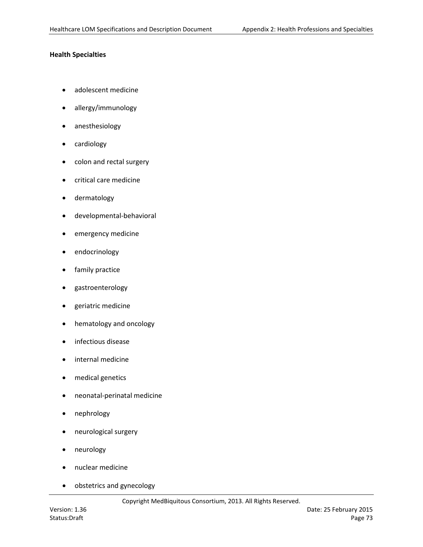# **Health Specialties**

- adolescent medicine
- allergy/immunology
- anesthesiology
- cardiology
- colon and rectal surgery
- critical care medicine
- dermatology
- developmental-behavioral
- emergency medicine
- endocrinology
- family practice
- gastroenterology
- geriatric medicine
- hematology and oncology
- infectious disease
- internal medicine
- medical genetics
- neonatal-perinatal medicine
- nephrology
- neurological surgery
- neurology
- nuclear medicine
- obstetrics and gynecology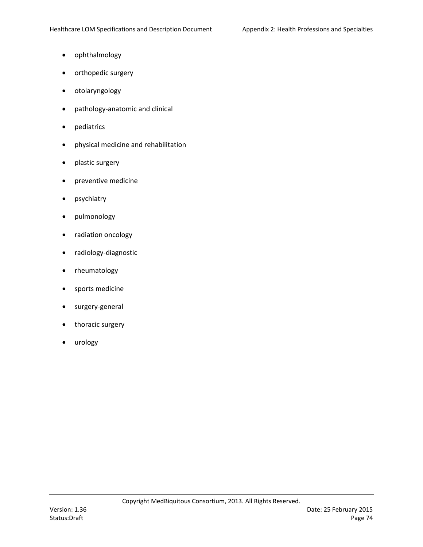- ophthalmology
- orthopedic surgery
- otolaryngology
- pathology-anatomic and clinical
- pediatrics
- physical medicine and rehabilitation
- plastic surgery
- preventive medicine
- psychiatry
- pulmonology
- radiation oncology
- radiology-diagnostic
- rheumatology
- sports medicine
- surgery-general
- thoracic surgery
- urology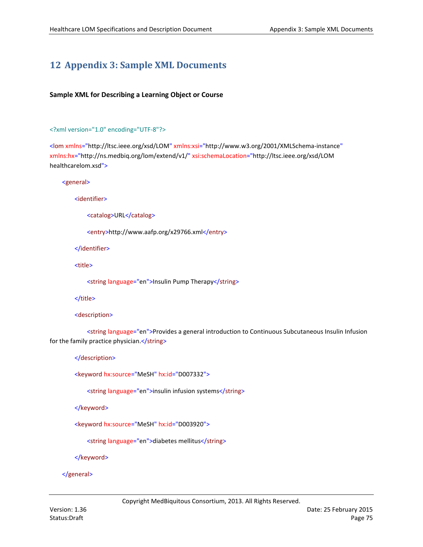# <span id="page-74-0"></span>**12 Appendix 3: Sample XML Documents**

# **Sample XML for Describing a Learning Object or Course**

## <?xml version="1.0" encoding="UTF-8"?>

<lom xmlns="http://ltsc.ieee.org/xsd/LOM" xmlns:xsi="http://www.w3.org/2001/XMLSchema-instance" xmlns:hx="http://ns.medbiq.org/lom/extend/v1/" xsi:schemaLocation="http://ltsc.ieee.org/xsd/LOM healthcarelom.xsd">

<general>

<identifier>

<catalog>URL</catalog>

<entry>http://www.aafp.org/x29766.xml</entry>

</identifier>

<title>

<string language="en">Insulin Pump Therapy</string>

</title>

<description>

<string language="en">Provides a general introduction to Continuous Subcutaneous Insulin Infusion for the family practice physician.</string>

</description>

<keyword hx:source="MeSH" hx:id="D007332">

<string language="en">insulin infusion systems</string>

</keyword>

<keyword hx:source="MeSH" hx:id="D003920">

<string language="en">diabetes mellitus</string>

</keyword>

## </general>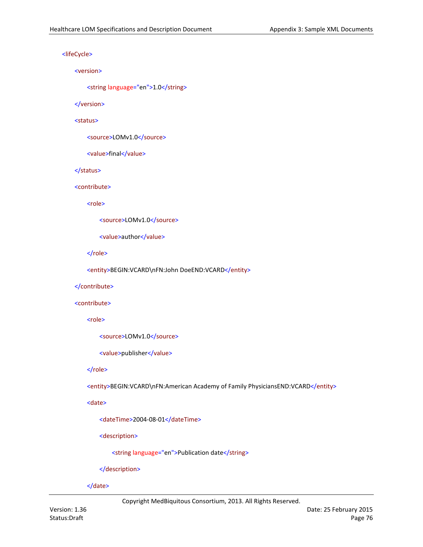<lifeCycle>

#### <version>

<string language="en">1.0</string>

</version>

#### <status>

<source>LOMv1.0</source>

<value>final</value>

## </status>

## <contribute>

<role>

```
<source>LOMv1.0</source>
```
<value>author</value>

</role>

<entity>BEGIN:VCARD\nFN:John DoeEND:VCARD</entity>

## </contribute>

## <contribute>

<role>

<source>LOMv1.0</source>

<value>publisher</value>

## </role>

<entity>BEGIN:VCARD\nFN:American Academy of Family PhysiciansEND:VCARD</entity>

<date>

<dateTime>2004-08-01</dateTime>

<description>

<string language="en">Publication date</string>

</description>

</date>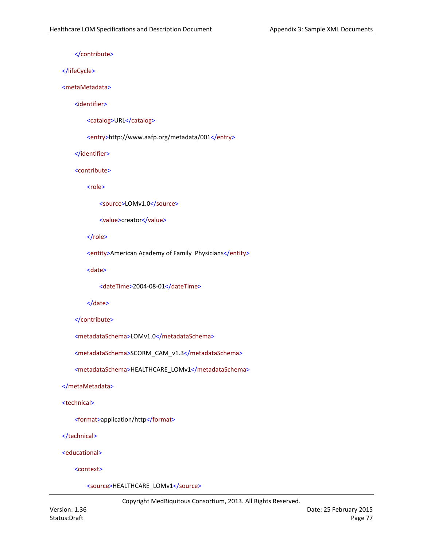</contribute>

</lifeCycle>

#### <metaMetadata>

<identifier>

<catalog>URL</catalog>

<entry>http://www.aafp.org/metadata/001</entry>

</identifier>

<contribute>

<role>

<source>LOMv1.0</source>

<value>creator</value>

</role>

<entity>American Academy of Family Physicians</entity>

<date>

<dateTime>2004-08-01</dateTime>

</date>

```
</contribute>
```
<metadataSchema>LOMv1.0</metadataSchema>

<metadataSchema>SCORM\_CAM\_v1.3</metadataSchema>

<metadataSchema>HEALTHCARE\_LOMv1</metadataSchema>

#### </metaMetadata>

<technical>

<format>application/http</format>

</technical>

<educational>

<context>

<source>HEALTHCARE\_LOMv1</source>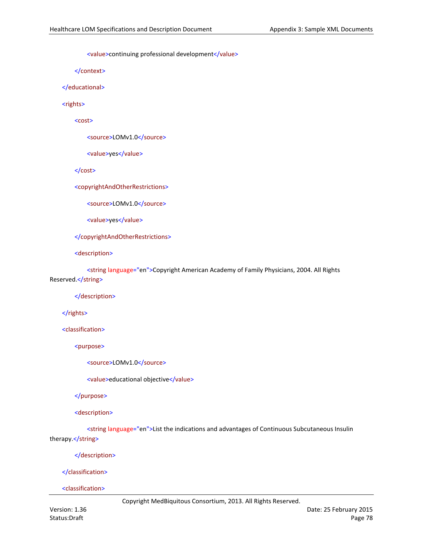<value>continuing professional development</value>

</context>

</educational>

<rights>

<cost>

<source>LOMv1.0</source>

<value>yes</value>

</cost>

<copyrightAndOtherRestrictions>

<source>LOMv1.0</source>

<value>yes</value>

</copyrightAndOtherRestrictions>

<description>

<string language="en">Copyright American Academy of Family Physicians, 2004. All Rights Reserved.</string>

</description>

</rights>

<classification>

<purpose>

<source>LOMv1.0</source>

<value>educational objective</value>

</purpose>

<description>

<string language="en">List the indications and advantages of Continuous Subcutaneous Insulin therapy.</string>

</description>

</classification>

<classification>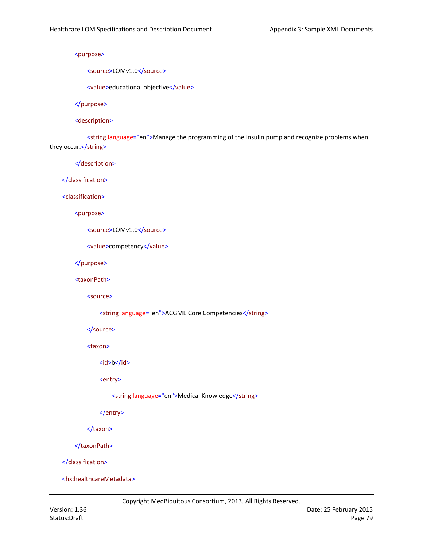<purpose>

<source>LOMv1.0</source>

<value>educational objective</value>

</purpose>

<description>

<string language="en">Manage the programming of the insulin pump and recognize problems when they occur.</string>

</description>

</classification>

<classification>

<purpose>

<source>LOMv1.0</source>

```
<value>competency</value>
```
</purpose>

<taxonPath>

<source>

<string language="en">ACGME Core Competencies</string>

</source>

<taxon>

<id>b</id>

<entry>

<string language="en">Medical Knowledge</string>

</entry>

</taxon>

</taxonPath>

</classification>

<hx:healthcareMetadata>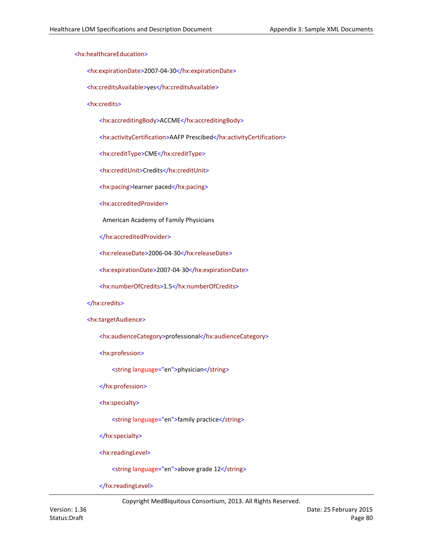## <hx:healthcareEducation>

<hx:expirationDate>2007-04-30</hx:expirationDate>

<hx:creditsAvailable>yes</hx:creditsAvailable>

<hx:credits>

<hx:accreditingBody>ACCME</hx:accreditingBody>

<hx:activityCertification>AAFP Prescibed</hx:activityCertification>

<hx:creditType>CME</hx:creditType>

<hx:creditUnit>Credits</hx:creditUnit>

<hx:pacing>learner paced</hx:pacing>

<hx:accreditedProvider>

American Academy of Family Physicians

</hx:accreditedProvider>

<hx:releaseDate>2006-04-30</hx:releaseDate>

<hx:expirationDate>2007-04-30</hx:expirationDate>

<hx:numberOfCredits>1.5</hx:numberOfCredits>

## </hx:credits>

<hx:targetAudience>

<hx:audienceCategory>professional</hx:audienceCategory>

<hx:profession>

<string language="en">physician</string>

</hx:profession>

<hx:specialty>

<string language="en">family practice</string>

</hx:specialty>

<hx:readingLevel>

<string language="en">above grade 12</string>

</hx:readingLevel>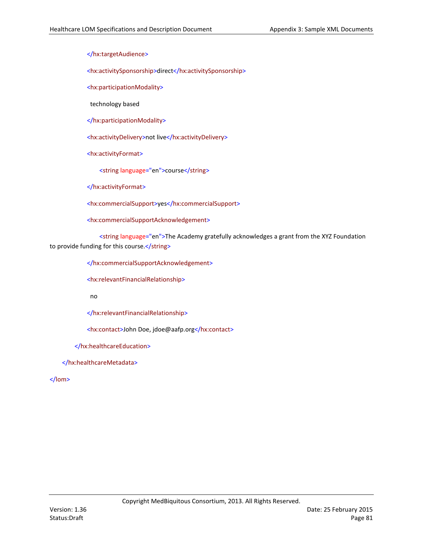</hx:targetAudience>

<hx:activitySponsorship>direct</hx:activitySponsorship>

<hx:participationModality>

technology based

</hx:participationModality>

<hx:activityDelivery>not live</hx:activityDelivery>

<hx:activityFormat>

<string language="en">course</string>

</hx:activityFormat>

<hx:commercialSupport>yes</hx:commercialSupport>

<hx:commercialSupportAcknowledgement>

<string language="en">The Academy gratefully acknowledges a grant from the XYZ Foundation to provide funding for this course.</string>

</hx:commercialSupportAcknowledgement>

<hx:relevantFinancialRelationship>

no

</hx:relevantFinancialRelationship>

<hx:contact>John Doe, jdoe@aafp.org</hx:contact>

</hx:healthcareEducation>

</hx:healthcareMetadata>

</lom>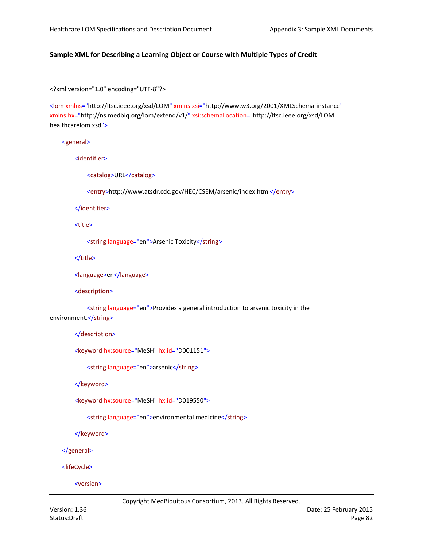# **Sample XML for Describing a Learning Object or Course with Multiple Types of Credit**

<?xml version="1.0" encoding="UTF-8"?>

<lom xmlns="http://ltsc.ieee.org/xsd/LOM" xmlns:xsi="http://www.w3.org/2001/XMLSchema-instance" xmlns:hx="http://ns.medbiq.org/lom/extend/v1/" xsi:schemaLocation="http://ltsc.ieee.org/xsd/LOM healthcarelom.xsd">

## <general>

<identifier>

<catalog>URL</catalog>

<entry>http://www.atsdr.cdc.gov/HEC/CSEM/arsenic/index.html</entry>

</identifier>

<title>

<string language="en">Arsenic Toxicity</string>

</title>

<language>en</language>

<description>

<string language="en">Provides a general introduction to arsenic toxicity in the environment.</string>

</description>

<keyword hx:source="MeSH" hx:id="D001151">

<string language="en">arsenic</string>

</keyword>

<keyword hx:source="MeSH" hx:id="D019550">

<string language="en">environmental medicine</string>

</keyword>

</general>

<lifeCycle>

<version>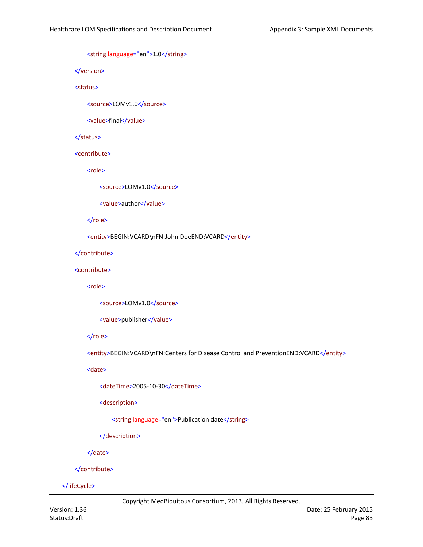<string language="en">1.0</string>

</version>

## <status>

<source>LOMv1.0</source>

<value>final</value>

## </status>

#### <contribute>

<role>

<source>LOMv1.0</source>

<value>author</value>

#### </role>

<entity>BEGIN:VCARD\nFN:John DoeEND:VCARD</entity>

#### </contribute>

#### <contribute>

<role>

<source>LOMv1.0</source>

<value>publisher</value>

#### </role>

<entity>BEGIN:VCARD\nFN:Centers for Disease Control and PreventionEND:VCARD</entity>

## <date>

<dateTime>2005-10-30</dateTime>

<description>

<string language="en">Publication date</string>

</description>

</date>

#### </contribute>

## </lifeCycle>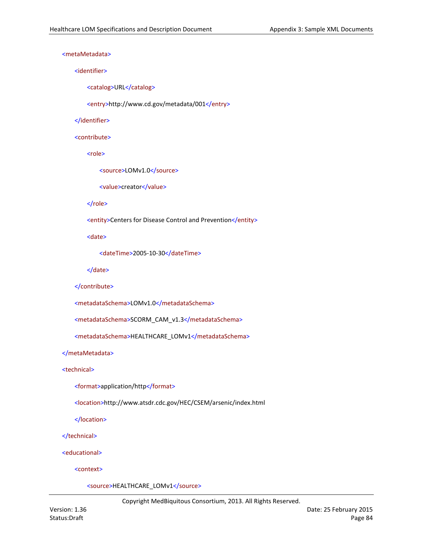## <metaMetadata>

#### <identifier>

<catalog>URL</catalog>

<entry>http://www.cd.gov/metadata/001</entry>

#### </identifier>

#### <contribute>

<role>

<source>LOMv1.0</source>

<value>creator</value>

## </role>

<entity>Centers for Disease Control and Prevention</entity>

<date>

<dateTime>2005-10-30</dateTime>

</date>

```
</contribute>
```

```
<metadataSchema>LOMv1.0</metadataSchema>
```

```
<metadataSchema>SCORM_CAM_v1.3</metadataSchema>
```

```
<metadataSchema>HEALTHCARE_LOMv1</metadataSchema>
```
# </metaMetadata>

## <technical>

- <format>application/http</format>
- <location>http://www.atsdr.cdc.gov/HEC/CSEM/arsenic/index.html

</location>

</technical>

<educational>

<context>

<source>HEALTHCARE\_LOMv1</source>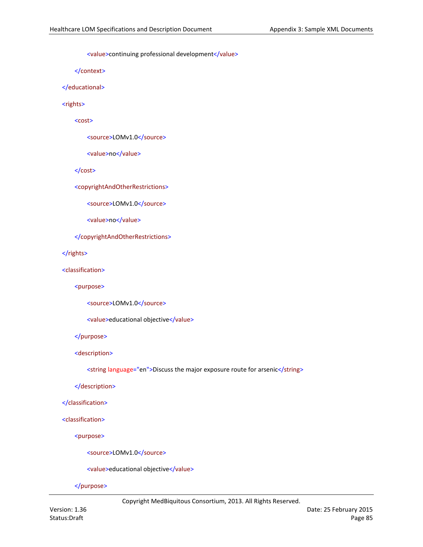<value>continuing professional development</value>

</context>

</educational>

<rights>

<cost>

<source>LOMv1.0</source>

<value>no</value>

</cost>

<copyrightAndOtherRestrictions>

<source>LOMv1.0</source>

<value>no</value>

</copyrightAndOtherRestrictions>

</rights>

<classification>

<purpose>

<source>LOMv1.0</source>

<value>educational objective</value>

</purpose>

<description>

<string language="en">Discuss the major exposure route for arsenic</string>

</description>

</classification>

<classification>

<purpose>

<source>LOMv1.0</source>

<value>educational objective</value>

</purpose>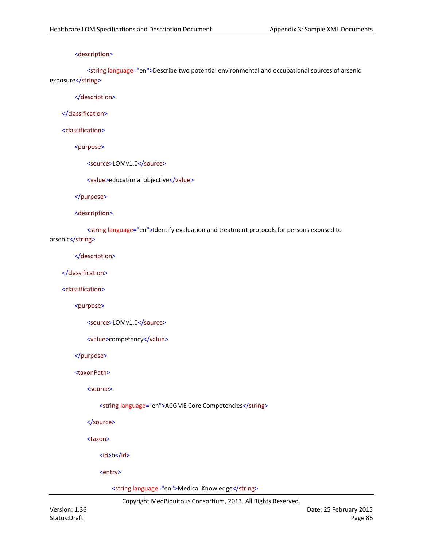## <description>

<string language="en">Describe two potential environmental and occupational sources of arsenic exposure</string>

</description>

</classification>

<classification>

<purpose>

<source>LOMv1.0</source>

<value>educational objective</value>

</purpose>

<description>

<string language="en">Identify evaluation and treatment protocols for persons exposed to arsenic</string>

</description>

</classification>

<classification>

<purpose>

```
<source>LOMv1.0</source>
```
<value>competency</value>

</purpose>

<taxonPath>

<source>

<string language="en">ACGME Core Competencies</string>

</source>

<taxon>

<id>b</id>

<entry>

<string language="en">Medical Knowledge</string>

Copyright MedBiquitous Consortium, 2013. All Rights Reserved.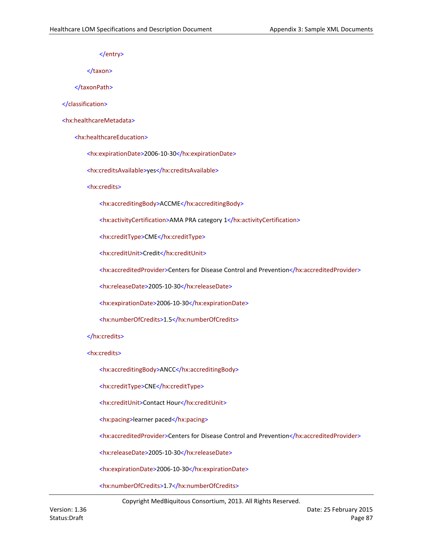</entry>

</taxon>

</taxonPath>

</classification>

<hx:healthcareMetadata>

<hx:healthcareEducation>

<hx:expirationDate>2006-10-30</hx:expirationDate>

<hx:creditsAvailable>yes</hx:creditsAvailable>

<hx:credits>

<hx:accreditingBody>ACCME</hx:accreditingBody>

<hx:activityCertification>AMA PRA category 1</hx:activityCertification>

<hx:creditType>CME</hx:creditType>

<hx:creditUnit>Credit</hx:creditUnit>

<hx:accreditedProvider>Centers for Disease Control and Prevention</hx:accreditedProvider>

<hx:releaseDate>2005-10-30</hx:releaseDate>

<hx:expirationDate>2006-10-30</hx:expirationDate>

<hx:numberOfCredits>1.5</hx:numberOfCredits>

</hx:credits>

<hx:credits>

<hx:accreditingBody>ANCC</hx:accreditingBody>

<hx:creditType>CNE</hx:creditType>

<hx:creditUnit>Contact Hour</hx:creditUnit>

<hx:pacing>learner paced</hx:pacing>

<hx:accreditedProvider>Centers for Disease Control and Prevention</hx:accreditedProvider>

<hx:releaseDate>2005-10-30</hx:releaseDate>

<hx:expirationDate>2006-10-30</hx:expirationDate>

<hx:numberOfCredits>1.7</hx:numberOfCredits>

Copyright MedBiquitous Consortium, 2013. All Rights Reserved.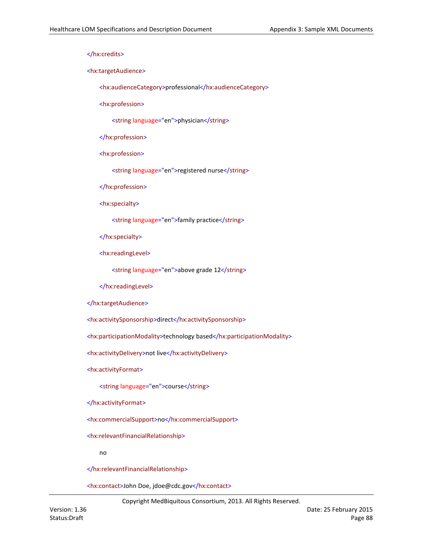</hx:credits>

<hx:targetAudience>

<hx:audienceCategory>professional</hx:audienceCategory>

<hx:profession>

<string language="en">physician</string>

</hx:profession>

<hx:profession>

<string language="en">registered nurse</string>

</hx:profession>

<hx:specialty>

<string language="en">family practice</string>

</hx:specialty>

<hx:readingLevel>

<string language="en">above grade 12</string>

</hx:readingLevel>

</hx:targetAudience>

<hx:activitySponsorship>direct</hx:activitySponsorship>

<hx:participationModality>technology based</hx:participationModality>

<hx:activityDelivery>not live</hx:activityDelivery>

<hx:activityFormat>

<string language="en">course</string>

</hx:activityFormat>

<hx:commercialSupport>no</hx:commercialSupport>

<hx:relevantFinancialRelationship>

no

</hx:relevantFinancialRelationship>

<hx:contact>John Doe, jdoe@cdc.gov</hx:contact>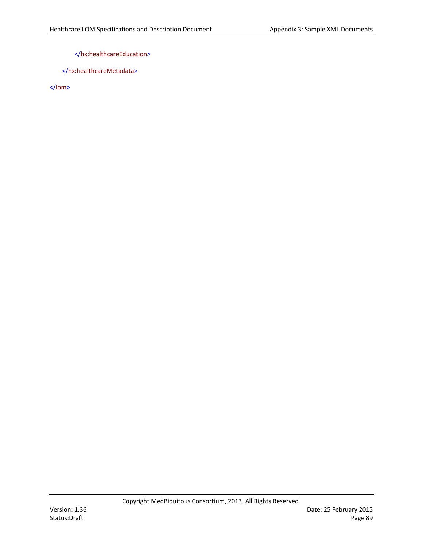# </hx:healthcareEducation>

</hx:healthcareMetadata>

</lom>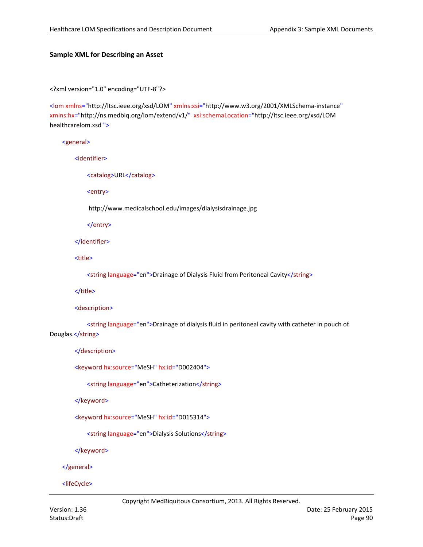## **Sample XML for Describing an Asset**

<?xml version="1.0" encoding="UTF-8"?>

<lom xmlns="http://ltsc.ieee.org/xsd/LOM" xmlns:xsi="http://www.w3.org/2001/XMLSchema-instance" xmlns:hx="http://ns.medbiq.org/lom/extend/v1/" xsi:schemaLocation="http://ltsc.ieee.org/xsd/LOM healthcarelom.xsd ">

## <general>

<identifier>

<catalog>URL</catalog>

<entry>

http://www.medicalschool.edu/images/dialysisdrainage.jpg

</entry>

</identifier>

<title>

<string language="en">Drainage of Dialysis Fluid from Peritoneal Cavity</string>

</title>

<description>

<string language="en">Drainage of dialysis fluid in peritoneal cavity with catheter in pouch of Douglas.</string>

</description>

<keyword hx:source="MeSH" hx:id="D002404">

<string language="en">Catheterization</string>

</keyword>

<keyword hx:source="MeSH" hx:id="D015314">

<string language="en">Dialysis Solutions</string>

</keyword>

</general>

<lifeCycle>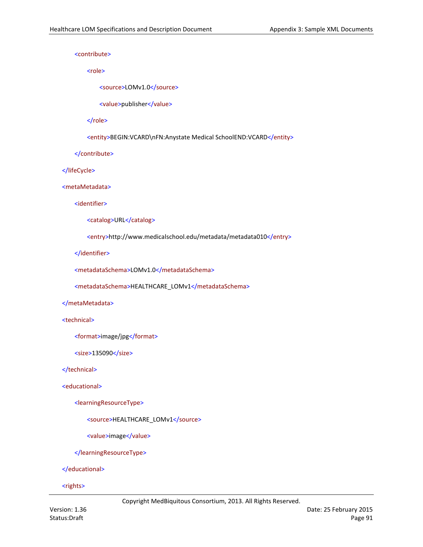<contribute>

<role>

<source>LOMv1.0</source>

<value>publisher</value>

</role>

<entity>BEGIN:VCARD\nFN:Anystate Medical SchoolEND:VCARD</entity>

</contribute>

</lifeCycle>

<metaMetadata>

<identifier>

<catalog>URL</catalog>

<entry>http://www.medicalschool.edu/metadata/metadata010</entry>

</identifier>

<metadataSchema>LOMv1.0</metadataSchema>

<metadataSchema>HEALTHCARE\_LOMv1</metadataSchema>

## </metaMetadata>

<technical>

<format>image/jpg</format>

<size>135090</size>

</technical>

<educational>

<learningResourceType>

<source>HEALTHCARE\_LOMv1</source>

<value>image</value>

</learningResourceType>

</educational>

<rights>